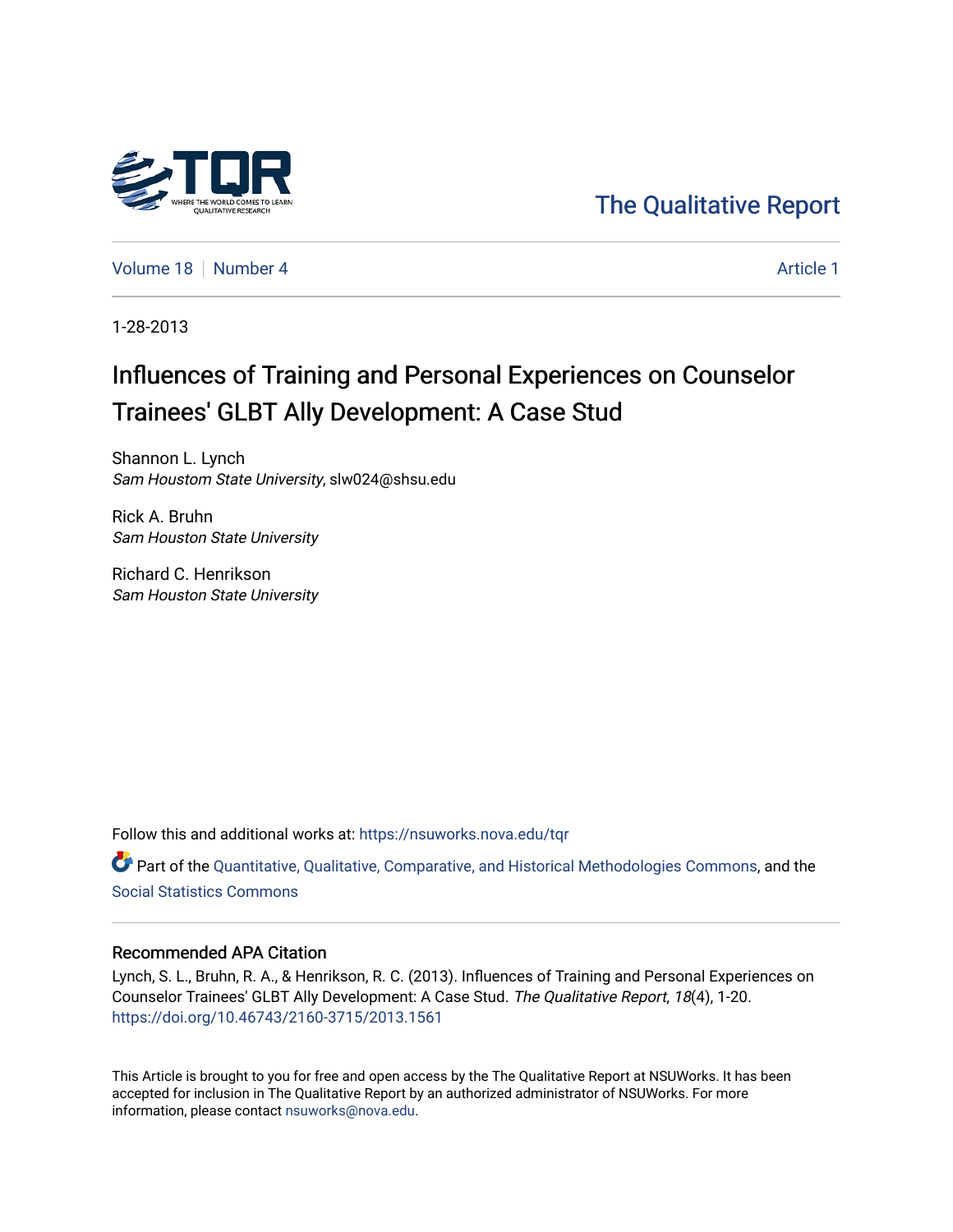

## [The Qualitative Report](https://nsuworks.nova.edu/tqr)

[Volume 18](https://nsuworks.nova.edu/tqr/vol18) [Number 4](https://nsuworks.nova.edu/tqr/vol18/iss4) [Article 1](https://nsuworks.nova.edu/tqr/vol18/iss4/1) Article 1

1-28-2013

# Influences of Training and Personal Experiences on Counselor Trainees' GLBT Ally Development: A Case Stud

Shannon L. Lynch Sam Houstom State University, slw024@shsu.edu

Rick A. Bruhn Sam Houston State University

Richard C. Henrikson Sam Houston State University

Follow this and additional works at: [https://nsuworks.nova.edu/tqr](https://nsuworks.nova.edu/tqr?utm_source=nsuworks.nova.edu%2Ftqr%2Fvol18%2Fiss4%2F1&utm_medium=PDF&utm_campaign=PDFCoverPages) 

Part of the [Quantitative, Qualitative, Comparative, and Historical Methodologies Commons,](http://network.bepress.com/hgg/discipline/423?utm_source=nsuworks.nova.edu%2Ftqr%2Fvol18%2Fiss4%2F1&utm_medium=PDF&utm_campaign=PDFCoverPages) and the [Social Statistics Commons](http://network.bepress.com/hgg/discipline/1275?utm_source=nsuworks.nova.edu%2Ftqr%2Fvol18%2Fiss4%2F1&utm_medium=PDF&utm_campaign=PDFCoverPages) 

#### Recommended APA Citation

Lynch, S. L., Bruhn, R. A., & Henrikson, R. C. (2013). Influences of Training and Personal Experiences on Counselor Trainees' GLBT Ally Development: A Case Stud. The Qualitative Report, 18(4), 1-20. <https://doi.org/10.46743/2160-3715/2013.1561>

This Article is brought to you for free and open access by the The Qualitative Report at NSUWorks. It has been accepted for inclusion in The Qualitative Report by an authorized administrator of NSUWorks. For more information, please contact [nsuworks@nova.edu.](mailto:nsuworks@nova.edu)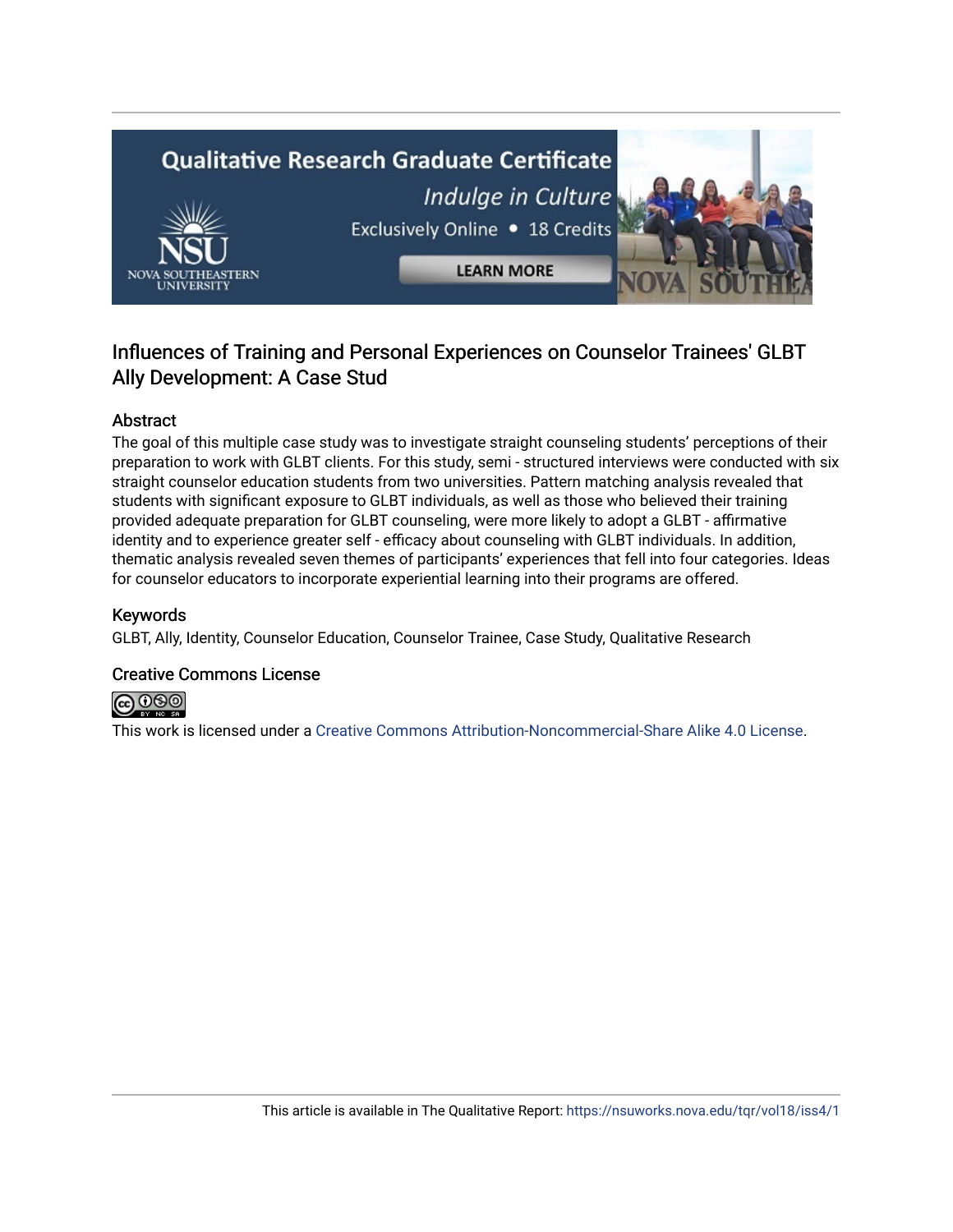

### Influences of Training and Personal Experiences on Counselor Trainees' GLBT Ally Development: A Case Stud

#### Abstract

The goal of this multiple case study was to investigate straight counseling students' perceptions of their preparation to work with GLBT clients. For this study, semi - structured interviews were conducted with six straight counselor education students from two universities. Pattern matching analysis revealed that students with significant exposure to GLBT individuals, as well as those who believed their training provided adequate preparation for GLBT counseling, were more likely to adopt a GLBT - affirmative identity and to experience greater self - efficacy about counseling with GLBT individuals. In addition, thematic analysis revealed seven themes of participants' experiences that fell into four categories. Ideas for counselor educators to incorporate experiential learning into their programs are offered.

#### Keywords

GLBT, Ally, Identity, Counselor Education, Counselor Trainee, Case Study, Qualitative Research

#### Creative Commons License



This work is licensed under a [Creative Commons Attribution-Noncommercial-Share Alike 4.0 License](https://creativecommons.org/licenses/by-nc-sa/4.0/).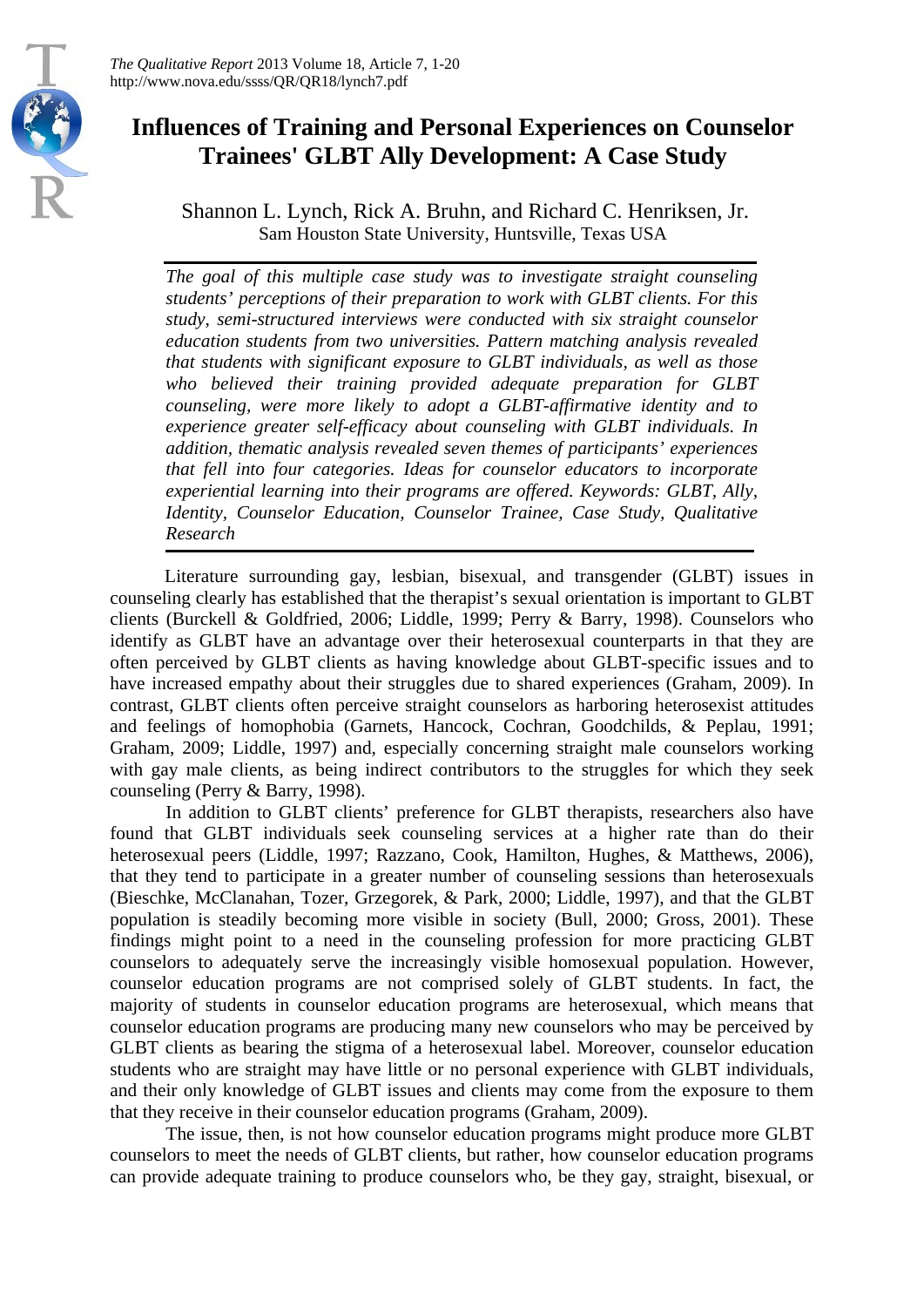

*The Qualitative Report* 2013 Volume 18, Article 7, 1-20 http://www.nova.edu/ssss/QR/QR18/lynch7.pdf

## **Influences of Training and Personal Experiences on Counselor Trainees' GLBT Ally Development: A Case Study**

Shannon L. Lynch, Rick A. Bruhn, and Richard C. Henriksen, Jr. Sam Houston State University, Huntsville, Texas USA

*The goal of this multiple case study was to investigate straight counseling students' perceptions of their preparation to work with GLBT clients. For this study, semi-structured interviews were conducted with six straight counselor education students from two universities. Pattern matching analysis revealed that students with significant exposure to GLBT individuals, as well as those who believed their training provided adequate preparation for GLBT counseling, were more likely to adopt a GLBT-affirmative identity and to experience greater self-efficacy about counseling with GLBT individuals. In addition, thematic analysis revealed seven themes of participants' experiences that fell into four categories. Ideas for counselor educators to incorporate experiential learning into their programs are offered. Keywords: GLBT, Ally, Identity, Counselor Education, Counselor Trainee, Case Study, Qualitative Research*

Literature surrounding gay, lesbian, bisexual, and transgender (GLBT) issues in counseling clearly has established that the therapist's sexual orientation is important to GLBT clients (Burckell & Goldfried, 2006; Liddle, 1999; Perry & Barry, 1998). Counselors who identify as GLBT have an advantage over their heterosexual counterparts in that they are often perceived by GLBT clients as having knowledge about GLBT-specific issues and to have increased empathy about their struggles due to shared experiences (Graham, 2009). In contrast, GLBT clients often perceive straight counselors as harboring heterosexist attitudes and feelings of homophobia (Garnets, Hancock, Cochran, Goodchilds, & Peplau, 1991; Graham, 2009; Liddle, 1997) and, especially concerning straight male counselors working with gay male clients, as being indirect contributors to the struggles for which they seek counseling (Perry & Barry, 1998).

In addition to GLBT clients' preference for GLBT therapists, researchers also have found that GLBT individuals seek counseling services at a higher rate than do their heterosexual peers (Liddle, 1997; Razzano, Cook, Hamilton, Hughes, & Matthews, 2006), that they tend to participate in a greater number of counseling sessions than heterosexuals (Bieschke, McClanahan, Tozer, Grzegorek, & Park, 2000; Liddle, 1997), and that the GLBT population is steadily becoming more visible in society (Bull, 2000; Gross, 2001). These findings might point to a need in the counseling profession for more practicing GLBT counselors to adequately serve the increasingly visible homosexual population. However, counselor education programs are not comprised solely of GLBT students. In fact, the majority of students in counselor education programs are heterosexual, which means that counselor education programs are producing many new counselors who may be perceived by GLBT clients as bearing the stigma of a heterosexual label. Moreover, counselor education students who are straight may have little or no personal experience with GLBT individuals, and their only knowledge of GLBT issues and clients may come from the exposure to them that they receive in their counselor education programs (Graham, 2009).

The issue, then, is not how counselor education programs might produce more GLBT counselors to meet the needs of GLBT clients, but rather, how counselor education programs can provide adequate training to produce counselors who, be they gay, straight, bisexual, or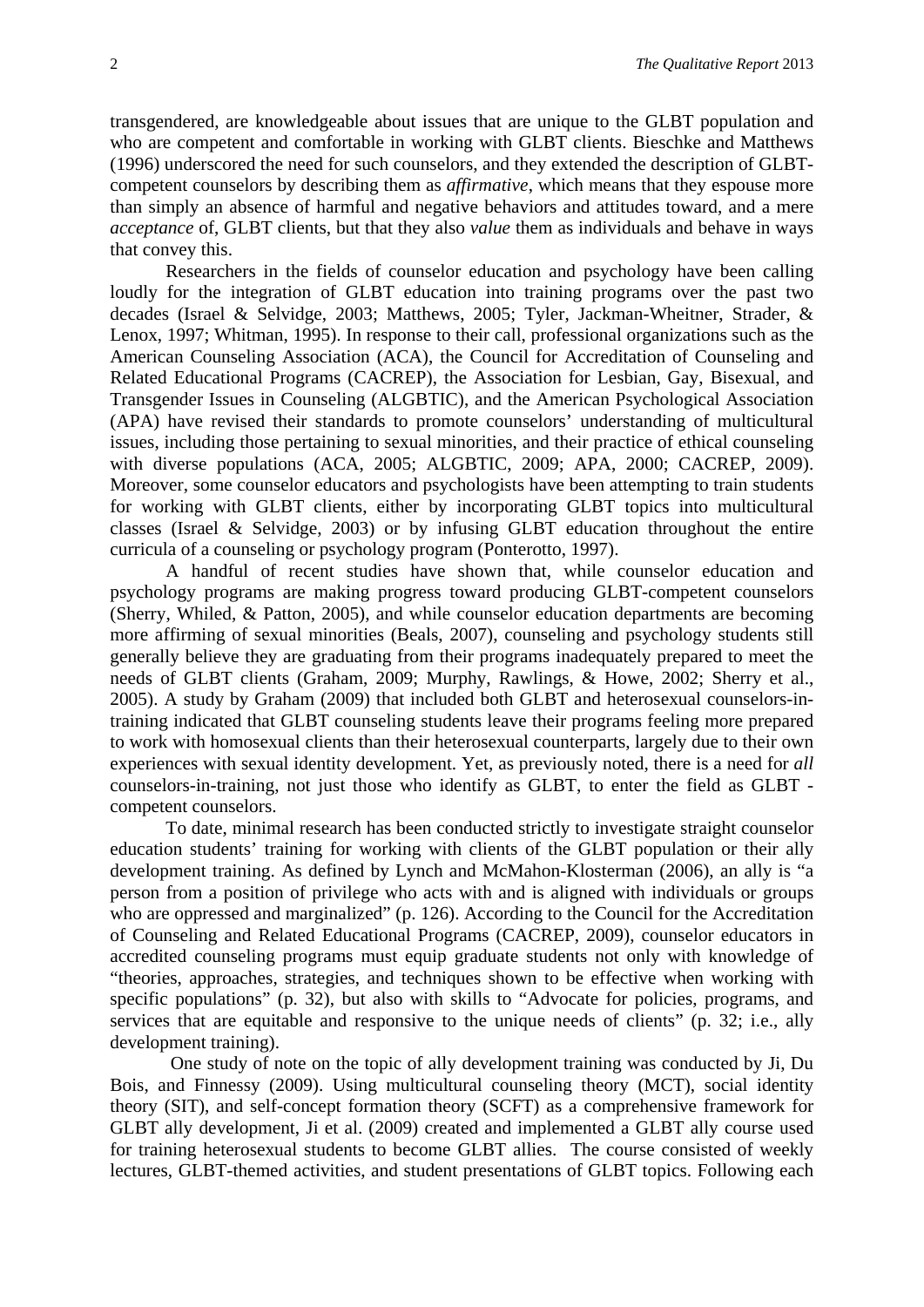transgendered, are knowledgeable about issues that are unique to the GLBT population and who are competent and comfortable in working with GLBT clients. Bieschke and Matthews (1996) underscored the need for such counselors, and they extended the description of GLBTcompetent counselors by describing them as *affirmative*, which means that they espouse more than simply an absence of harmful and negative behaviors and attitudes toward, and a mere *acceptance* of, GLBT clients, but that they also *value* them as individuals and behave in ways that convey this.

Researchers in the fields of counselor education and psychology have been calling loudly for the integration of GLBT education into training programs over the past two decades (Israel & Selvidge, 2003; Matthews, 2005; Tyler, Jackman-Wheitner, Strader, & Lenox, 1997; Whitman, 1995). In response to their call, professional organizations such as the American Counseling Association (ACA), the Council for Accreditation of Counseling and Related Educational Programs (CACREP), the Association for Lesbian, Gay, Bisexual, and Transgender Issues in Counseling (ALGBTIC), and the American Psychological Association (APA) have revised their standards to promote counselors' understanding of multicultural issues, including those pertaining to sexual minorities, and their practice of ethical counseling with diverse populations (ACA, 2005; ALGBTIC, 2009; APA, 2000; CACREP, 2009). Moreover, some counselor educators and psychologists have been attempting to train students for working with GLBT clients, either by incorporating GLBT topics into multicultural classes (Israel & Selvidge, 2003) or by infusing GLBT education throughout the entire curricula of a counseling or psychology program (Ponterotto, 1997).

A handful of recent studies have shown that, while counselor education and psychology programs are making progress toward producing GLBT-competent counselors (Sherry, Whiled, & Patton, 2005), and while counselor education departments are becoming more affirming of sexual minorities (Beals, 2007), counseling and psychology students still generally believe they are graduating from their programs inadequately prepared to meet the needs of GLBT clients (Graham, 2009; Murphy, Rawlings, & Howe, 2002; Sherry et al., 2005). A study by Graham (2009) that included both GLBT and heterosexual counselors-intraining indicated that GLBT counseling students leave their programs feeling more prepared to work with homosexual clients than their heterosexual counterparts, largely due to their own experiences with sexual identity development. Yet, as previously noted, there is a need for *all*  counselors-in-training, not just those who identify as GLBT, to enter the field as GLBT competent counselors.

To date, minimal research has been conducted strictly to investigate straight counselor education students' training for working with clients of the GLBT population or their ally development training. As defined by Lynch and McMahon-Klosterman (2006), an ally is "a person from a position of privilege who acts with and is aligned with individuals or groups who are oppressed and marginalized" (p. 126). According to the Council for the Accreditation of Counseling and Related Educational Programs (CACREP, 2009), counselor educators in accredited counseling programs must equip graduate students not only with knowledge of "theories, approaches, strategies, and techniques shown to be effective when working with specific populations" (p. 32), but also with skills to "Advocate for policies, programs, and services that are equitable and responsive to the unique needs of clients" (p. 32; i.e., ally development training).

One study of note on the topic of ally development training was conducted by Ji, Du Bois, and Finnessy (2009). Using multicultural counseling theory (MCT), social identity theory (SIT), and self-concept formation theory (SCFT) as a comprehensive framework for GLBT ally development, Ji et al. (2009) created and implemented a GLBT ally course used for training heterosexual students to become GLBT allies. The course consisted of weekly lectures, GLBT-themed activities, and student presentations of GLBT topics. Following each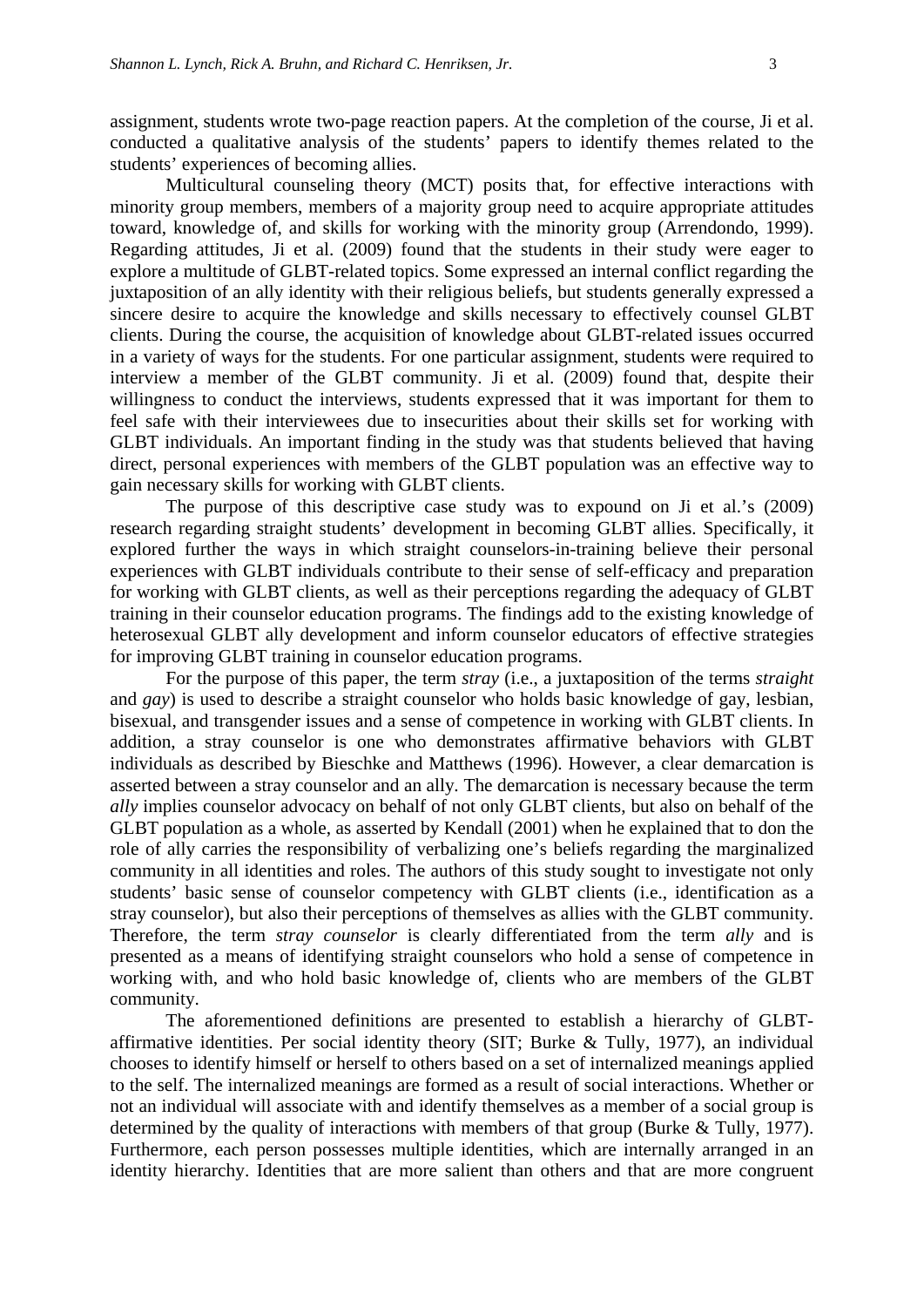assignment, students wrote two-page reaction papers. At the completion of the course, Ji et al. conducted a qualitative analysis of the students' papers to identify themes related to the students' experiences of becoming allies.

Multicultural counseling theory (MCT) posits that, for effective interactions with minority group members, members of a majority group need to acquire appropriate attitudes toward, knowledge of, and skills for working with the minority group (Arrendondo, 1999). Regarding attitudes, Ji et al. (2009) found that the students in their study were eager to explore a multitude of GLBT-related topics. Some expressed an internal conflict regarding the juxtaposition of an ally identity with their religious beliefs, but students generally expressed a sincere desire to acquire the knowledge and skills necessary to effectively counsel GLBT clients. During the course, the acquisition of knowledge about GLBT-related issues occurred in a variety of ways for the students. For one particular assignment, students were required to interview a member of the GLBT community. Ji et al. (2009) found that, despite their willingness to conduct the interviews, students expressed that it was important for them to feel safe with their interviewees due to insecurities about their skills set for working with GLBT individuals. An important finding in the study was that students believed that having direct, personal experiences with members of the GLBT population was an effective way to gain necessary skills for working with GLBT clients.

The purpose of this descriptive case study was to expound on Ji et al.'s (2009) research regarding straight students' development in becoming GLBT allies. Specifically, it explored further the ways in which straight counselors-in-training believe their personal experiences with GLBT individuals contribute to their sense of self-efficacy and preparation for working with GLBT clients, as well as their perceptions regarding the adequacy of GLBT training in their counselor education programs. The findings add to the existing knowledge of heterosexual GLBT ally development and inform counselor educators of effective strategies for improving GLBT training in counselor education programs.

For the purpose of this paper, the term *stray* (i.e., a juxtaposition of the terms *straight*  and *gay*) is used to describe a straight counselor who holds basic knowledge of gay, lesbian, bisexual, and transgender issues and a sense of competence in working with GLBT clients. In addition, a stray counselor is one who demonstrates affirmative behaviors with GLBT individuals as described by Bieschke and Matthews (1996). However, a clear demarcation is asserted between a stray counselor and an ally*.* The demarcation is necessary because the term *ally* implies counselor advocacy on behalf of not only GLBT clients, but also on behalf of the GLBT population as a whole, as asserted by Kendall (2001) when he explained that to don the role of ally carries the responsibility of verbalizing one's beliefs regarding the marginalized community in all identities and roles. The authors of this study sought to investigate not only students' basic sense of counselor competency with GLBT clients (i.e., identification as a stray counselor), but also their perceptions of themselves as allies with the GLBT community. Therefore, the term *stray counselor* is clearly differentiated from the term *ally* and is presented as a means of identifying straight counselors who hold a sense of competence in working with, and who hold basic knowledge of, clients who are members of the GLBT community.

The aforementioned definitions are presented to establish a hierarchy of GLBTaffirmative identities. Per social identity theory (SIT; Burke & Tully, 1977), an individual chooses to identify himself or herself to others based on a set of internalized meanings applied to the self. The internalized meanings are formed as a result of social interactions. Whether or not an individual will associate with and identify themselves as a member of a social group is determined by the quality of interactions with members of that group (Burke & Tully, 1977). Furthermore, each person possesses multiple identities, which are internally arranged in an identity hierarchy. Identities that are more salient than others and that are more congruent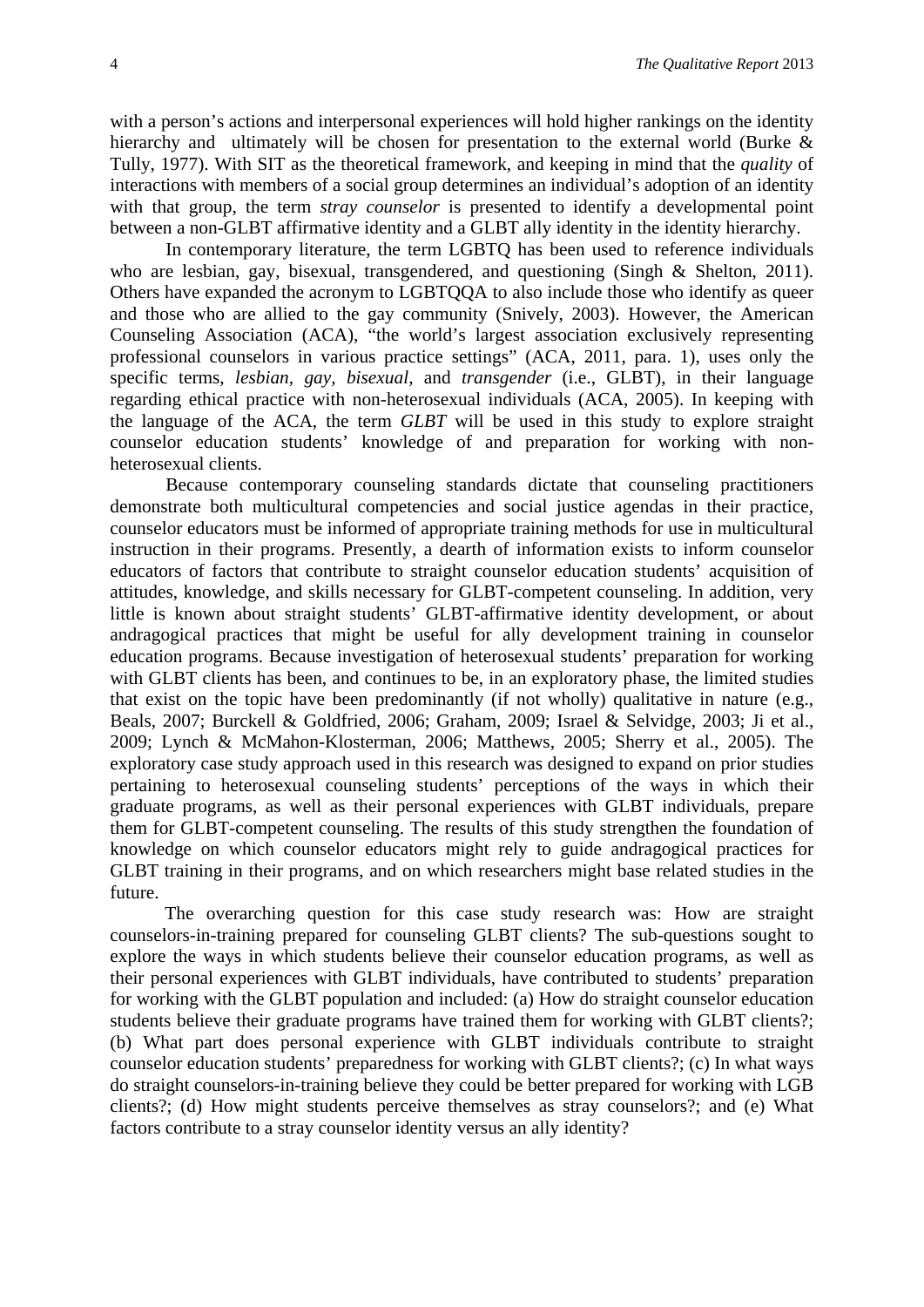with a person's actions and interpersonal experiences will hold higher rankings on the identity hierarchy and ultimately will be chosen for presentation to the external world (Burke & Tully, 1977). With SIT as the theoretical framework, and keeping in mind that the *quality* of interactions with members of a social group determines an individual's adoption of an identity with that group, the term *stray counselor* is presented to identify a developmental point between a non-GLBT affirmative identity and a GLBT ally identity in the identity hierarchy.

In contemporary literature, the term LGBTQ has been used to reference individuals who are lesbian, gay, bisexual, transgendered, and questioning (Singh & Shelton, 2011). Others have expanded the acronym to LGBTQQA to also include those who identify as queer and those who are allied to the gay community (Snively, 2003). However, the American Counseling Association (ACA), "the world's largest association exclusively representing professional counselors in various practice settings" (ACA, 2011, para. 1), uses only the specific terms, *lesbian, gay, bisexual,* and *transgender* (i.e., GLBT), in their language regarding ethical practice with non-heterosexual individuals (ACA, 2005). In keeping with the language of the ACA, the term *GLBT* will be used in this study to explore straight counselor education students' knowledge of and preparation for working with nonheterosexual clients.

Because contemporary counseling standards dictate that counseling practitioners demonstrate both multicultural competencies and social justice agendas in their practice, counselor educators must be informed of appropriate training methods for use in multicultural instruction in their programs. Presently, a dearth of information exists to inform counselor educators of factors that contribute to straight counselor education students' acquisition of attitudes, knowledge, and skills necessary for GLBT-competent counseling. In addition, very little is known about straight students' GLBT-affirmative identity development, or about andragogical practices that might be useful for ally development training in counselor education programs. Because investigation of heterosexual students' preparation for working with GLBT clients has been, and continues to be, in an exploratory phase, the limited studies that exist on the topic have been predominantly (if not wholly) qualitative in nature (e.g., Beals, 2007; Burckell & Goldfried, 2006; Graham, 2009; Israel & Selvidge, 2003; Ji et al., 2009; Lynch & McMahon-Klosterman, 2006; Matthews, 2005; Sherry et al., 2005). The exploratory case study approach used in this research was designed to expand on prior studies pertaining to heterosexual counseling students' perceptions of the ways in which their graduate programs, as well as their personal experiences with GLBT individuals, prepare them for GLBT-competent counseling. The results of this study strengthen the foundation of knowledge on which counselor educators might rely to guide andragogical practices for GLBT training in their programs, and on which researchers might base related studies in the future.

The overarching question for this case study research was: How are straight counselors-in-training prepared for counseling GLBT clients? The sub-questions sought to explore the ways in which students believe their counselor education programs, as well as their personal experiences with GLBT individuals, have contributed to students' preparation for working with the GLBT population and included: (a) How do straight counselor education students believe their graduate programs have trained them for working with GLBT clients?; (b) What part does personal experience with GLBT individuals contribute to straight counselor education students' preparedness for working with GLBT clients?; (c) In what ways do straight counselors-in-training believe they could be better prepared for working with LGB clients?; (d) How might students perceive themselves as stray counselors?; and (e) What factors contribute to a stray counselor identity versus an ally identity?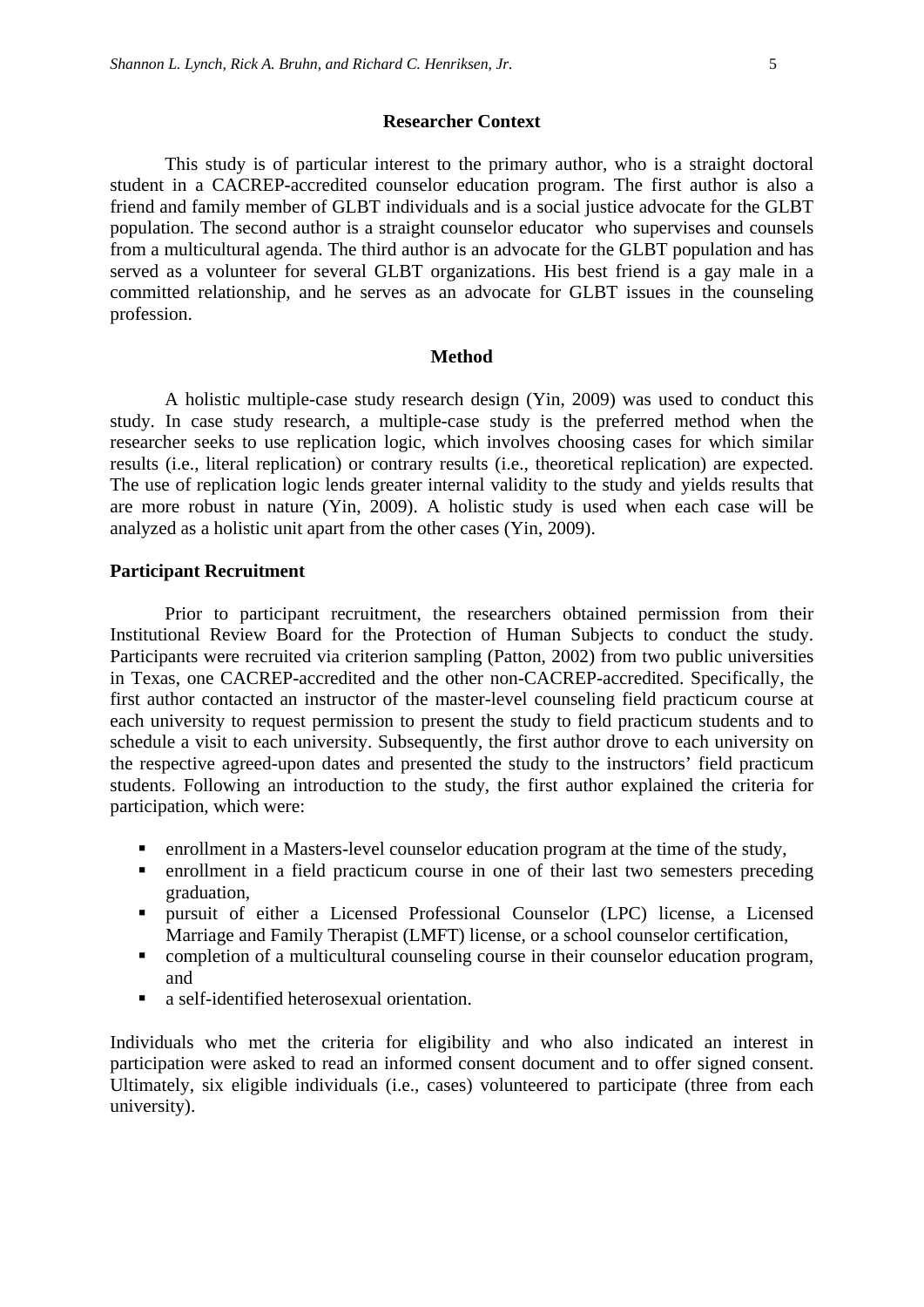#### **Researcher Context**

This study is of particular interest to the primary author, who is a straight doctoral student in a CACREP-accredited counselor education program. The first author is also a friend and family member of GLBT individuals and is a social justice advocate for the GLBT population. The second author is a straight counselor educator who supervises and counsels from a multicultural agenda. The third author is an advocate for the GLBT population and has served as a volunteer for several GLBT organizations. His best friend is a gay male in a committed relationship, and he serves as an advocate for GLBT issues in the counseling profession.

#### **Method**

A holistic multiple-case study research design (Yin, 2009) was used to conduct this study. In case study research, a multiple-case study is the preferred method when the researcher seeks to use replication logic, which involves choosing cases for which similar results (i.e., literal replication) or contrary results (i.e., theoretical replication) are expected. The use of replication logic lends greater internal validity to the study and yields results that are more robust in nature (Yin, 2009). A holistic study is used when each case will be analyzed as a holistic unit apart from the other cases (Yin, 2009).

#### **Participant Recruitment**

Prior to participant recruitment, the researchers obtained permission from their Institutional Review Board for the Protection of Human Subjects to conduct the study. Participants were recruited via criterion sampling (Patton, 2002) from two public universities in Texas, one CACREP-accredited and the other non-CACREP-accredited. Specifically, the first author contacted an instructor of the master-level counseling field practicum course at each university to request permission to present the study to field practicum students and to schedule a visit to each university. Subsequently, the first author drove to each university on the respective agreed-upon dates and presented the study to the instructors' field practicum students. Following an introduction to the study, the first author explained the criteria for participation, which were:

- enrollment in a Masters-level counselor education program at the time of the study,
- enrollment in a field practicum course in one of their last two semesters preceding graduation,
- pursuit of either a Licensed Professional Counselor (LPC) license, a Licensed Marriage and Family Therapist (LMFT) license, or a school counselor certification,
- completion of a multicultural counseling course in their counselor education program, and
- a self-identified heterosexual orientation.

Individuals who met the criteria for eligibility and who also indicated an interest in participation were asked to read an informed consent document and to offer signed consent. Ultimately, six eligible individuals (i.e., cases) volunteered to participate (three from each university).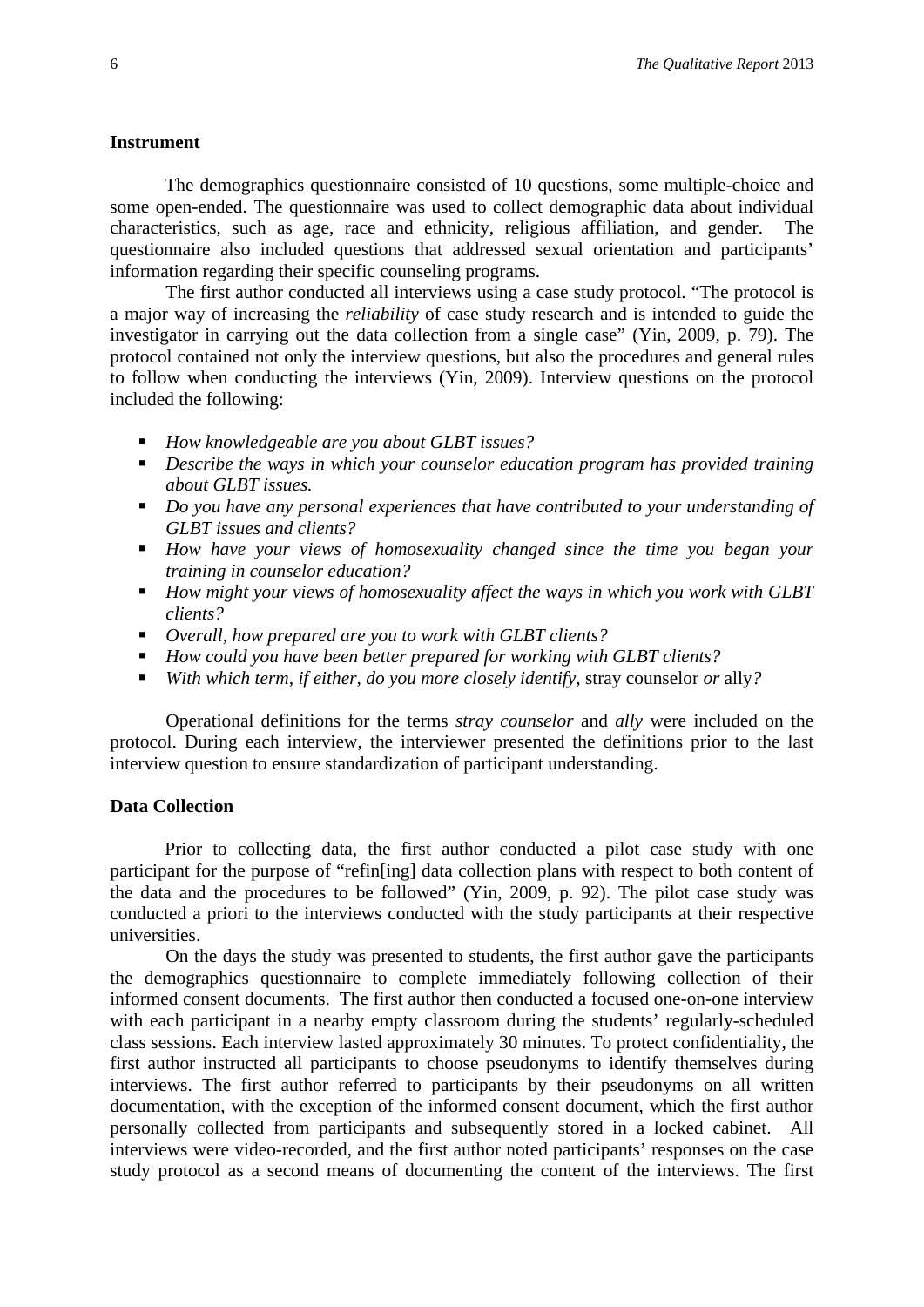#### **Instrument**

The demographics questionnaire consisted of 10 questions, some multiple-choice and some open-ended. The questionnaire was used to collect demographic data about individual characteristics, such as age, race and ethnicity, religious affiliation, and gender. The questionnaire also included questions that addressed sexual orientation and participants' information regarding their specific counseling programs.

The first author conducted all interviews using a case study protocol. "The protocol is a major way of increasing the *reliability* of case study research and is intended to guide the investigator in carrying out the data collection from a single case" (Yin, 2009, p. 79). The protocol contained not only the interview questions, but also the procedures and general rules to follow when conducting the interviews (Yin, 2009). Interview questions on the protocol included the following:

- *How knowledgeable are you about GLBT issues?*
- *Describe the ways in which your counselor education program has provided training about GLBT issues.*
- *Do you have any personal experiences that have contributed to your understanding of GLBT issues and clients?*
- *How have your views of homosexuality changed since the time you began your training in counselor education?*
- *How might your views of homosexuality affect the ways in which you work with GLBT clients?*
- *Overall, how prepared are you to work with GLBT clients?*
- *How could you have been better prepared for working with GLBT clients?*
- *With which term, if either, do you more closely identify, stray counselor or ally?*

Operational definitions for the terms *stray counselor* and *ally* were included on the protocol. During each interview, the interviewer presented the definitions prior to the last interview question to ensure standardization of participant understanding.

#### **Data Collection**

Prior to collecting data, the first author conducted a pilot case study with one participant for the purpose of "refin[ing] data collection plans with respect to both content of the data and the procedures to be followed" (Yin, 2009, p. 92). The pilot case study was conducted a priori to the interviews conducted with the study participants at their respective universities.

On the days the study was presented to students, the first author gave the participants the demographics questionnaire to complete immediately following collection of their informed consent documents. The first author then conducted a focused one-on-one interview with each participant in a nearby empty classroom during the students' regularly-scheduled class sessions. Each interview lasted approximately 30 minutes. To protect confidentiality, the first author instructed all participants to choose pseudonyms to identify themselves during interviews. The first author referred to participants by their pseudonyms on all written documentation, with the exception of the informed consent document, which the first author personally collected from participants and subsequently stored in a locked cabinet. All interviews were video-recorded, and the first author noted participants' responses on the case study protocol as a second means of documenting the content of the interviews. The first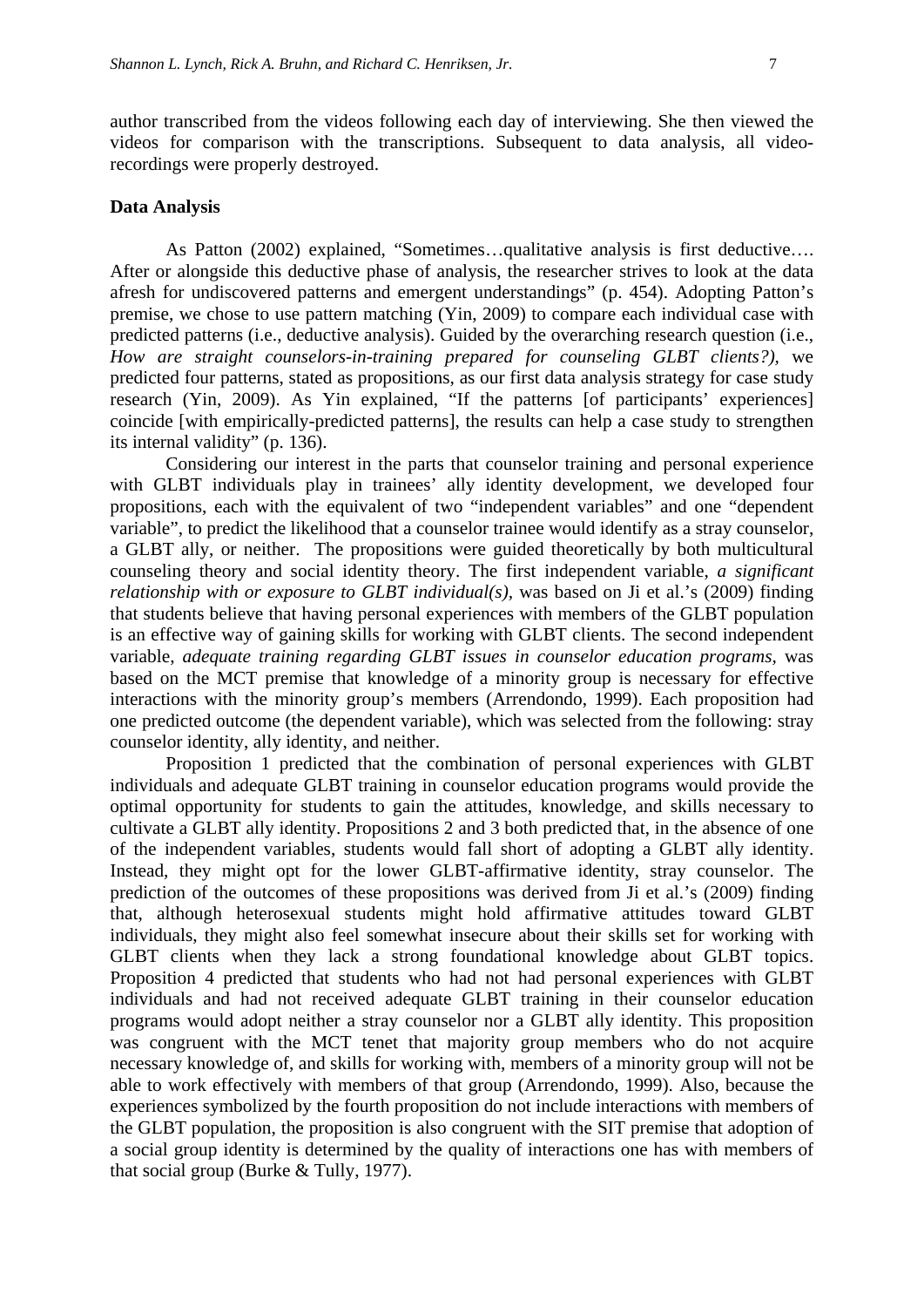author transcribed from the videos following each day of interviewing. She then viewed the videos for comparison with the transcriptions. Subsequent to data analysis, all videorecordings were properly destroyed.

#### **Data Analysis**

As Patton (2002) explained, "Sometimes…qualitative analysis is first deductive…. After or alongside this deductive phase of analysis, the researcher strives to look at the data afresh for undiscovered patterns and emergent understandings" (p. 454). Adopting Patton's premise, we chose to use pattern matching (Yin, 2009) to compare each individual case with predicted patterns (i.e., deductive analysis). Guided by the overarching research question (i.e., *How are straight counselors-in-training prepared for counseling GLBT clients?),* we predicted four patterns, stated as propositions, as our first data analysis strategy for case study research (Yin, 2009). As Yin explained, "If the patterns [of participants' experiences] coincide [with empirically-predicted patterns], the results can help a case study to strengthen its internal validity" (p. 136).

Considering our interest in the parts that counselor training and personal experience with GLBT individuals play in trainees' ally identity development, we developed four propositions, each with the equivalent of two "independent variables" and one "dependent variable", to predict the likelihood that a counselor trainee would identify as a stray counselor, a GLBT ally, or neither. The propositions were guided theoretically by both multicultural counseling theory and social identity theory. The first independent variable, *a significant relationship with or exposure to GLBT individual(s)*, was based on Ji et al.'s (2009) finding that students believe that having personal experiences with members of the GLBT population is an effective way of gaining skills for working with GLBT clients. The second independent variable, *adequate training regarding GLBT issues in counselor education programs,* was based on the MCT premise that knowledge of a minority group is necessary for effective interactions with the minority group's members (Arrendondo, 1999). Each proposition had one predicted outcome (the dependent variable), which was selected from the following: stray counselor identity, ally identity, and neither.

Proposition 1 predicted that the combination of personal experiences with GLBT individuals and adequate GLBT training in counselor education programs would provide the optimal opportunity for students to gain the attitudes, knowledge, and skills necessary to cultivate a GLBT ally identity. Propositions 2 and 3 both predicted that, in the absence of one of the independent variables, students would fall short of adopting a GLBT ally identity. Instead, they might opt for the lower GLBT-affirmative identity, stray counselor. The prediction of the outcomes of these propositions was derived from Ji et al.'s (2009) finding that, although heterosexual students might hold affirmative attitudes toward GLBT individuals, they might also feel somewhat insecure about their skills set for working with GLBT clients when they lack a strong foundational knowledge about GLBT topics. Proposition 4 predicted that students who had not had personal experiences with GLBT individuals and had not received adequate GLBT training in their counselor education programs would adopt neither a stray counselor nor a GLBT ally identity. This proposition was congruent with the MCT tenet that majority group members who do not acquire necessary knowledge of, and skills for working with, members of a minority group will not be able to work effectively with members of that group (Arrendondo, 1999). Also, because the experiences symbolized by the fourth proposition do not include interactions with members of the GLBT population, the proposition is also congruent with the SIT premise that adoption of a social group identity is determined by the quality of interactions one has with members of that social group (Burke & Tully, 1977).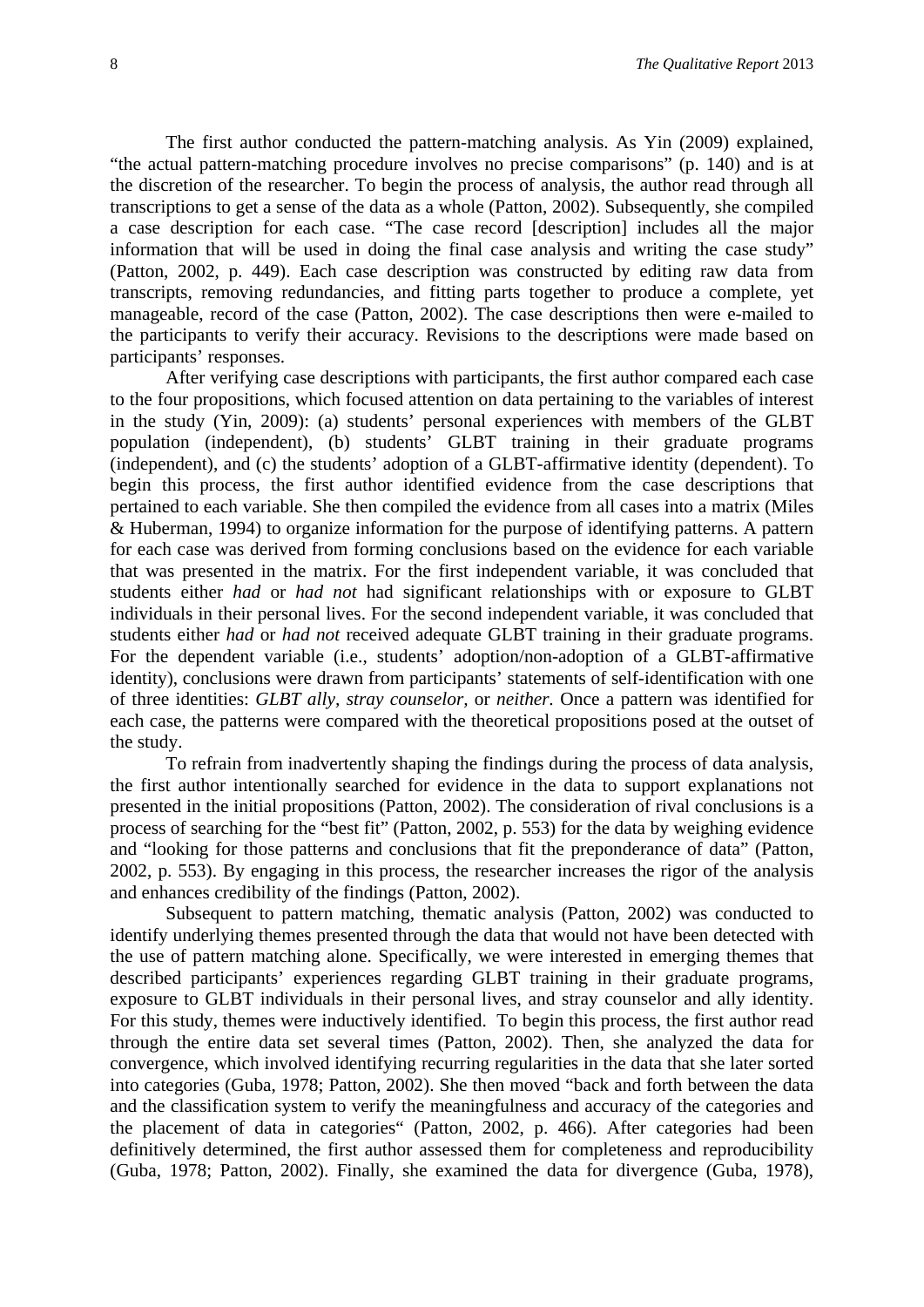The first author conducted the pattern-matching analysis. As Yin (2009) explained, "the actual pattern-matching procedure involves no precise comparisons" (p. 140) and is at the discretion of the researcher. To begin the process of analysis, the author read through all transcriptions to get a sense of the data as a whole (Patton, 2002). Subsequently, she compiled a case description for each case. "The case record [description] includes all the major information that will be used in doing the final case analysis and writing the case study" (Patton, 2002, p. 449). Each case description was constructed by editing raw data from transcripts, removing redundancies, and fitting parts together to produce a complete, yet manageable, record of the case (Patton, 2002). The case descriptions then were e-mailed to the participants to verify their accuracy. Revisions to the descriptions were made based on participants' responses.

After verifying case descriptions with participants, the first author compared each case to the four propositions, which focused attention on data pertaining to the variables of interest in the study (Yin, 2009): (a) students' personal experiences with members of the GLBT population (independent), (b) students' GLBT training in their graduate programs (independent), and (c) the students' adoption of a GLBT-affirmative identity (dependent). To begin this process, the first author identified evidence from the case descriptions that pertained to each variable. She then compiled the evidence from all cases into a matrix (Miles & Huberman, 1994) to organize information for the purpose of identifying patterns. A pattern for each case was derived from forming conclusions based on the evidence for each variable that was presented in the matrix. For the first independent variable, it was concluded that students either *had* or *had not* had significant relationships with or exposure to GLBT individuals in their personal lives. For the second independent variable, it was concluded that students either *had* or *had not* received adequate GLBT training in their graduate programs. For the dependent variable (i.e., students' adoption/non-adoption of a GLBT-affirmative identity), conclusions were drawn from participants' statements of self-identification with one of three identities: *GLBT ally, stray counselor,* or *neither.* Once a pattern was identified for each case, the patterns were compared with the theoretical propositions posed at the outset of the study.

To refrain from inadvertently shaping the findings during the process of data analysis, the first author intentionally searched for evidence in the data to support explanations not presented in the initial propositions (Patton, 2002). The consideration of rival conclusions is a process of searching for the "best fit" (Patton, 2002, p. 553) for the data by weighing evidence and "looking for those patterns and conclusions that fit the preponderance of data" (Patton, 2002, p. 553). By engaging in this process, the researcher increases the rigor of the analysis and enhances credibility of the findings (Patton, 2002).

Subsequent to pattern matching, thematic analysis (Patton, 2002) was conducted to identify underlying themes presented through the data that would not have been detected with the use of pattern matching alone. Specifically, we were interested in emerging themes that described participants' experiences regarding GLBT training in their graduate programs, exposure to GLBT individuals in their personal lives, and stray counselor and ally identity. For this study, themes were inductively identified. To begin this process, the first author read through the entire data set several times (Patton, 2002). Then, she analyzed the data for convergence, which involved identifying recurring regularities in the data that she later sorted into categories (Guba, 1978; Patton, 2002). She then moved "back and forth between the data and the classification system to verify the meaningfulness and accuracy of the categories and the placement of data in categories" (Patton, 2002, p. 466). After categories had been definitively determined, the first author assessed them for completeness and reproducibility (Guba, 1978; Patton, 2002). Finally, she examined the data for divergence (Guba, 1978),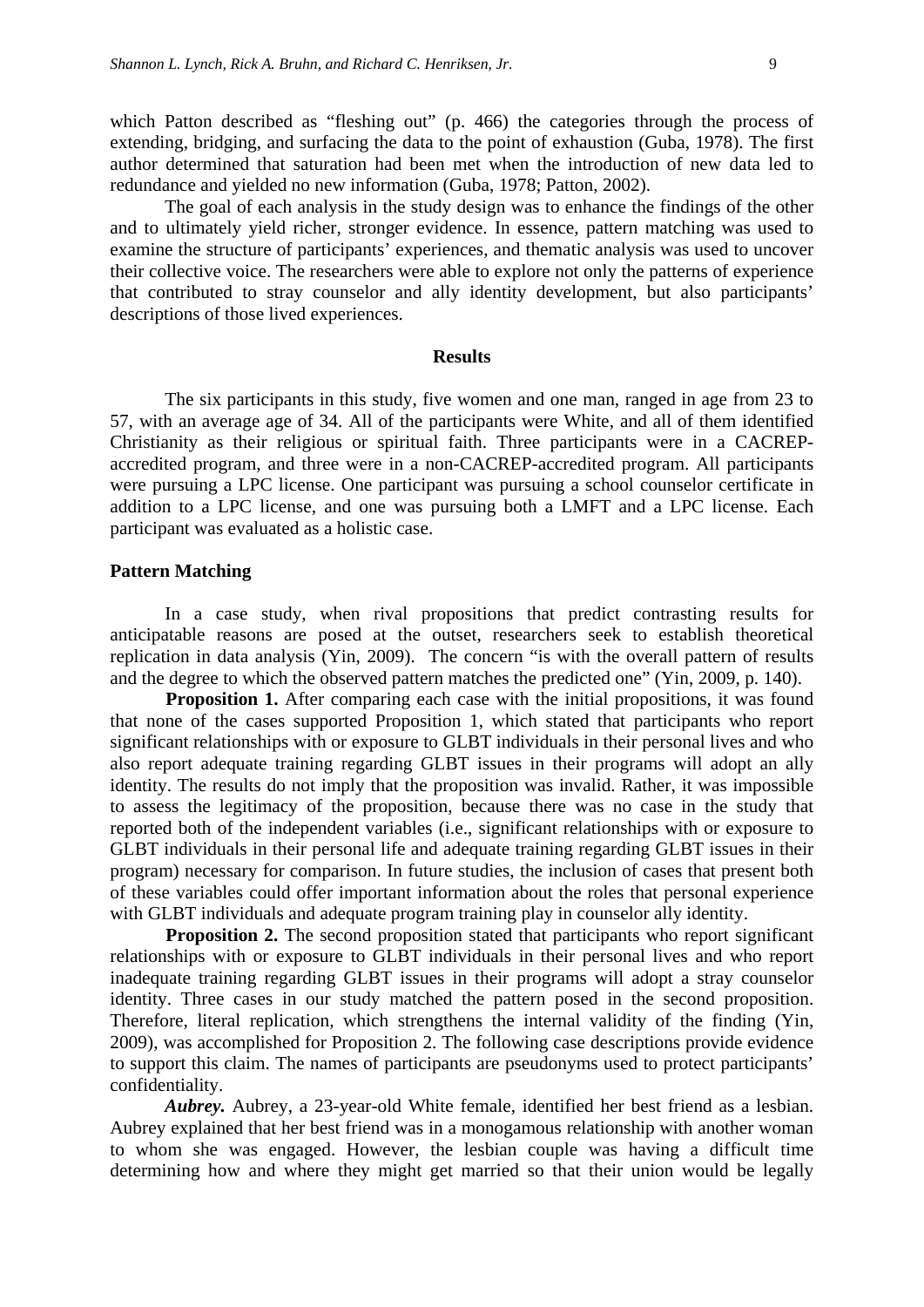which Patton described as "fleshing out" (p. 466) the categories through the process of extending, bridging, and surfacing the data to the point of exhaustion (Guba, 1978). The first author determined that saturation had been met when the introduction of new data led to redundance and yielded no new information (Guba, 1978; Patton, 2002).

The goal of each analysis in the study design was to enhance the findings of the other and to ultimately yield richer, stronger evidence. In essence, pattern matching was used to examine the structure of participants' experiences, and thematic analysis was used to uncover their collective voice. The researchers were able to explore not only the patterns of experience that contributed to stray counselor and ally identity development, but also participants' descriptions of those lived experiences.

#### **Results**

The six participants in this study, five women and one man, ranged in age from 23 to 57, with an average age of 34. All of the participants were White, and all of them identified Christianity as their religious or spiritual faith. Three participants were in a CACREPaccredited program, and three were in a non-CACREP-accredited program. All participants were pursuing a LPC license. One participant was pursuing a school counselor certificate in addition to a LPC license, and one was pursuing both a LMFT and a LPC license. Each participant was evaluated as a holistic case.

#### **Pattern Matching**

In a case study, when rival propositions that predict contrasting results for anticipatable reasons are posed at the outset, researchers seek to establish theoretical replication in data analysis (Yin, 2009). The concern "is with the overall pattern of results and the degree to which the observed pattern matches the predicted one" (Yin, 2009, p. 140).

**Proposition 1.** After comparing each case with the initial propositions, it was found that none of the cases supported Proposition 1, which stated that participants who report significant relationships with or exposure to GLBT individuals in their personal lives and who also report adequate training regarding GLBT issues in their programs will adopt an ally identity. The results do not imply that the proposition was invalid. Rather, it was impossible to assess the legitimacy of the proposition, because there was no case in the study that reported both of the independent variables (i.e., significant relationships with or exposure to GLBT individuals in their personal life and adequate training regarding GLBT issues in their program) necessary for comparison. In future studies, the inclusion of cases that present both of these variables could offer important information about the roles that personal experience with GLBT individuals and adequate program training play in counselor ally identity.

**Proposition 2.** The second proposition stated that participants who report significant relationships with or exposure to GLBT individuals in their personal lives and who report inadequate training regarding GLBT issues in their programs will adopt a stray counselor identity. Three cases in our study matched the pattern posed in the second proposition. Therefore, literal replication, which strengthens the internal validity of the finding (Yin, 2009), was accomplished for Proposition 2. The following case descriptions provide evidence to support this claim. The names of participants are pseudonyms used to protect participants' confidentiality.

*Aubrey.* Aubrey, a 23-year-old White female, identified her best friend as a lesbian. Aubrey explained that her best friend was in a monogamous relationship with another woman to whom she was engaged. However, the lesbian couple was having a difficult time determining how and where they might get married so that their union would be legally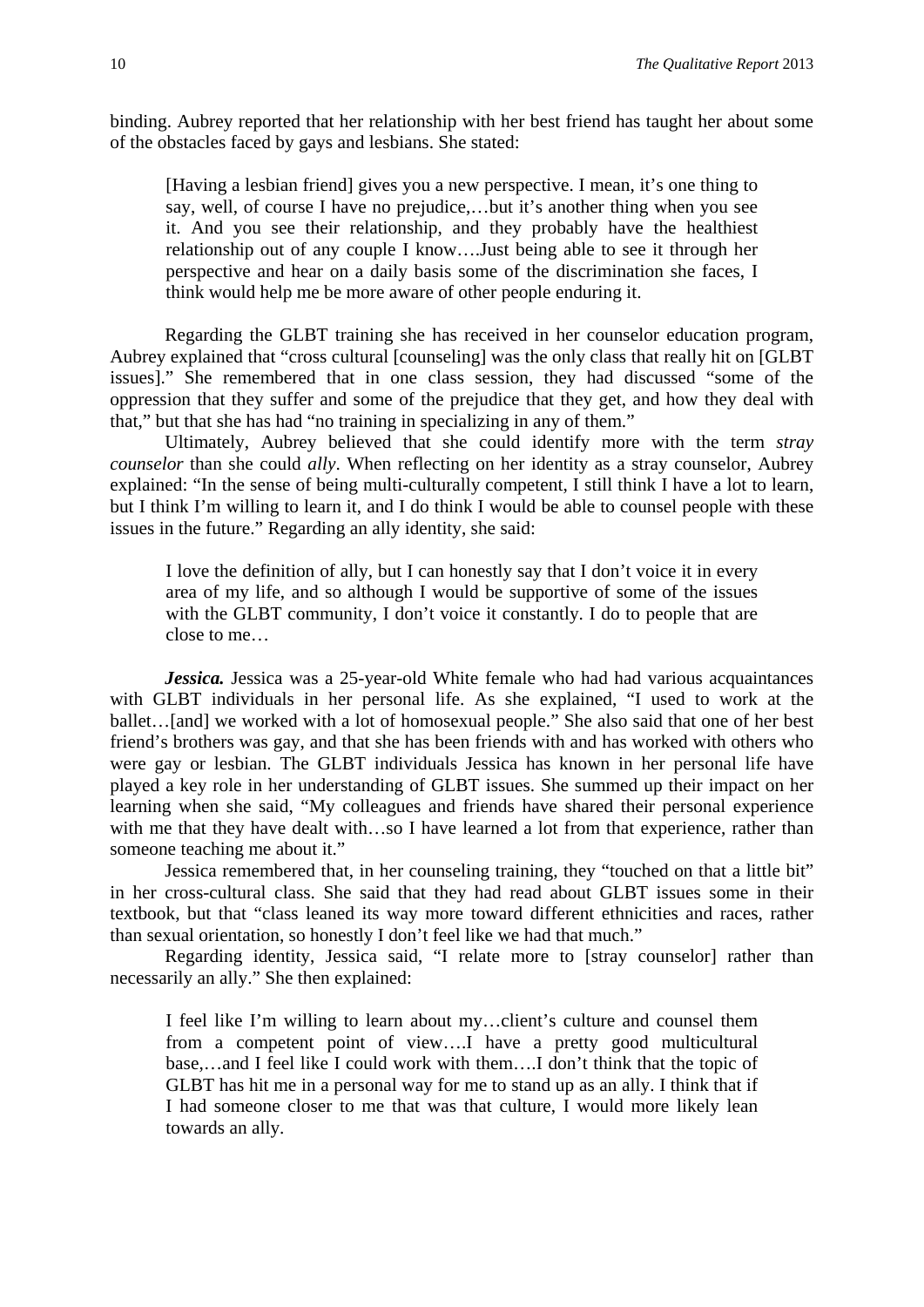binding. Aubrey reported that her relationship with her best friend has taught her about some of the obstacles faced by gays and lesbians. She stated:

[Having a lesbian friend] gives you a new perspective. I mean, it's one thing to say, well, of course I have no prejudice,…but it's another thing when you see it. And you see their relationship, and they probably have the healthiest relationship out of any couple I know….Just being able to see it through her perspective and hear on a daily basis some of the discrimination she faces, I think would help me be more aware of other people enduring it.

Regarding the GLBT training she has received in her counselor education program, Aubrey explained that "cross cultural [counseling] was the only class that really hit on [GLBT issues]." She remembered that in one class session, they had discussed "some of the oppression that they suffer and some of the prejudice that they get, and how they deal with that," but that she has had "no training in specializing in any of them."

Ultimately, Aubrey believed that she could identify more with the term *stray counselor* than she could *ally*. When reflecting on her identity as a stray counselor, Aubrey explained: "In the sense of being multi-culturally competent, I still think I have a lot to learn, but I think I'm willing to learn it, and I do think I would be able to counsel people with these issues in the future." Regarding an ally identity, she said:

I love the definition of ally, but I can honestly say that I don't voice it in every area of my life, and so although I would be supportive of some of the issues with the GLBT community, I don't voice it constantly. I do to people that are close to me…

*Jessica.* Jessica was a 25-year-old White female who had had various acquaintances with GLBT individuals in her personal life. As she explained, "I used to work at the ballet…[and] we worked with a lot of homosexual people." She also said that one of her best friend's brothers was gay, and that she has been friends with and has worked with others who were gay or lesbian. The GLBT individuals Jessica has known in her personal life have played a key role in her understanding of GLBT issues. She summed up their impact on her learning when she said, "My colleagues and friends have shared their personal experience with me that they have dealt with...so I have learned a lot from that experience, rather than someone teaching me about it."

Jessica remembered that, in her counseling training, they "touched on that a little bit" in her cross-cultural class. She said that they had read about GLBT issues some in their textbook, but that "class leaned its way more toward different ethnicities and races, rather than sexual orientation, so honestly I don't feel like we had that much."

Regarding identity, Jessica said, "I relate more to [stray counselor] rather than necessarily an ally." She then explained:

I feel like I'm willing to learn about my…client's culture and counsel them from a competent point of view….I have a pretty good multicultural base,…and I feel like I could work with them….I don't think that the topic of GLBT has hit me in a personal way for me to stand up as an ally. I think that if I had someone closer to me that was that culture, I would more likely lean towards an ally.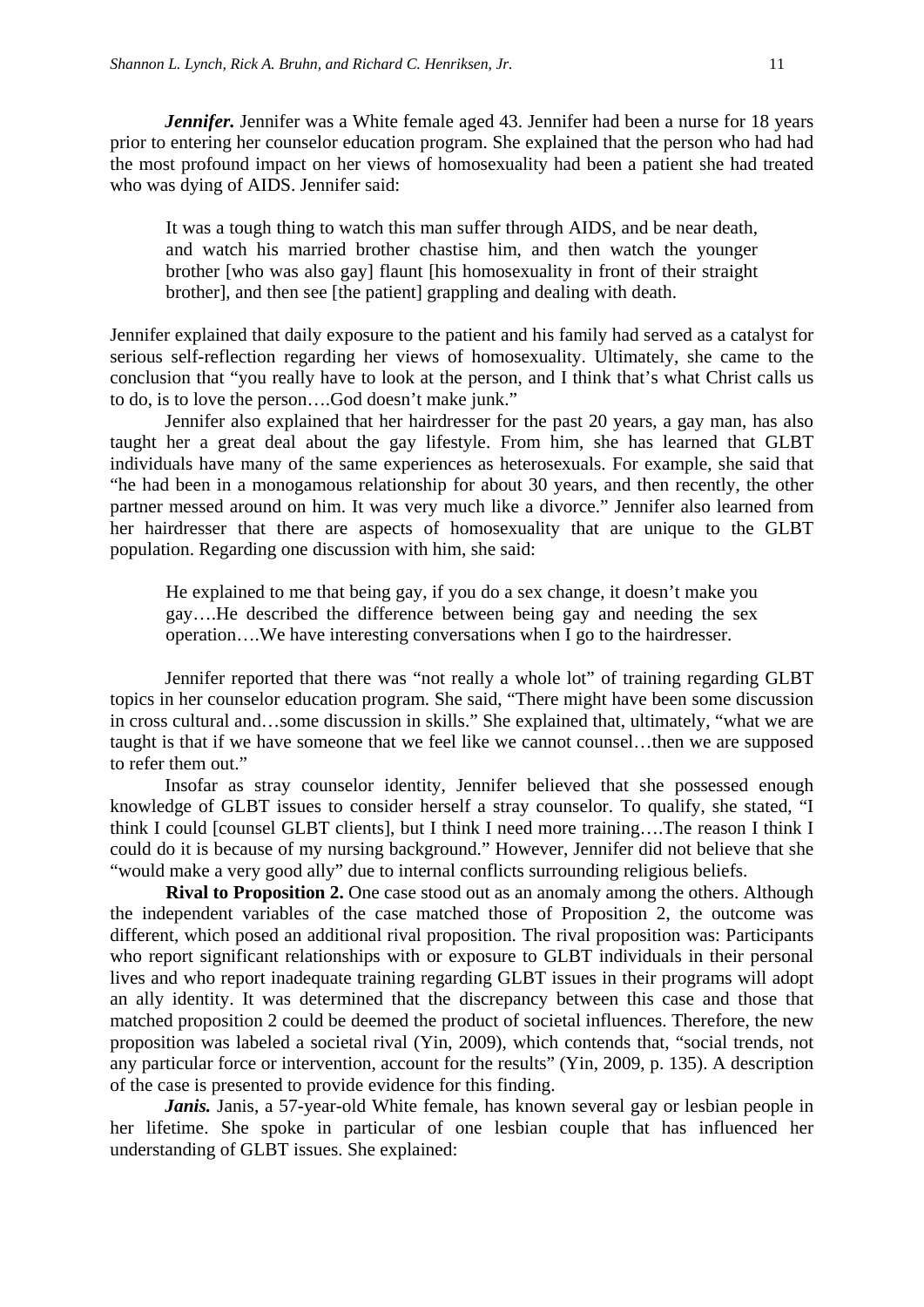*Jennifer*. Jennifer was a White female aged 43. Jennifer had been a nurse for 18 years prior to entering her counselor education program. She explained that the person who had had the most profound impact on her views of homosexuality had been a patient she had treated who was dying of AIDS. Jennifer said:

It was a tough thing to watch this man suffer through AIDS, and be near death, and watch his married brother chastise him, and then watch the younger brother [who was also gay] flaunt [his homosexuality in front of their straight brother], and then see [the patient] grappling and dealing with death.

Jennifer explained that daily exposure to the patient and his family had served as a catalyst for serious self-reflection regarding her views of homosexuality. Ultimately, she came to the conclusion that "you really have to look at the person, and I think that's what Christ calls us to do, is to love the person….God doesn't make junk."

Jennifer also explained that her hairdresser for the past 20 years, a gay man, has also taught her a great deal about the gay lifestyle. From him, she has learned that GLBT individuals have many of the same experiences as heterosexuals. For example, she said that "he had been in a monogamous relationship for about 30 years, and then recently, the other partner messed around on him. It was very much like a divorce." Jennifer also learned from her hairdresser that there are aspects of homosexuality that are unique to the GLBT population. Regarding one discussion with him, she said:

He explained to me that being gay, if you do a sex change, it doesn't make you gay….He described the difference between being gay and needing the sex operation….We have interesting conversations when I go to the hairdresser.

Jennifer reported that there was "not really a whole lot" of training regarding GLBT topics in her counselor education program. She said, "There might have been some discussion in cross cultural and…some discussion in skills." She explained that, ultimately, "what we are taught is that if we have someone that we feel like we cannot counsel…then we are supposed to refer them out."

Insofar as stray counselor identity, Jennifer believed that she possessed enough knowledge of GLBT issues to consider herself a stray counselor. To qualify, she stated, "I think I could [counsel GLBT clients], but I think I need more training….The reason I think I could do it is because of my nursing background." However, Jennifer did not believe that she "would make a very good ally" due to internal conflicts surrounding religious beliefs.

**Rival to Proposition 2.** One case stood out as an anomaly among the others. Although the independent variables of the case matched those of Proposition 2, the outcome was different, which posed an additional rival proposition. The rival proposition was: Participants who report significant relationships with or exposure to GLBT individuals in their personal lives and who report inadequate training regarding GLBT issues in their programs will adopt an ally identity. It was determined that the discrepancy between this case and those that matched proposition 2 could be deemed the product of societal influences. Therefore, the new proposition was labeled a societal rival (Yin, 2009), which contends that, "social trends, not any particular force or intervention, account for the results" (Yin, 2009, p. 135). A description of the case is presented to provide evidence for this finding.

*Janis.* Janis, a 57-year-old White female, has known several gay or lesbian people in her lifetime. She spoke in particular of one lesbian couple that has influenced her understanding of GLBT issues. She explained: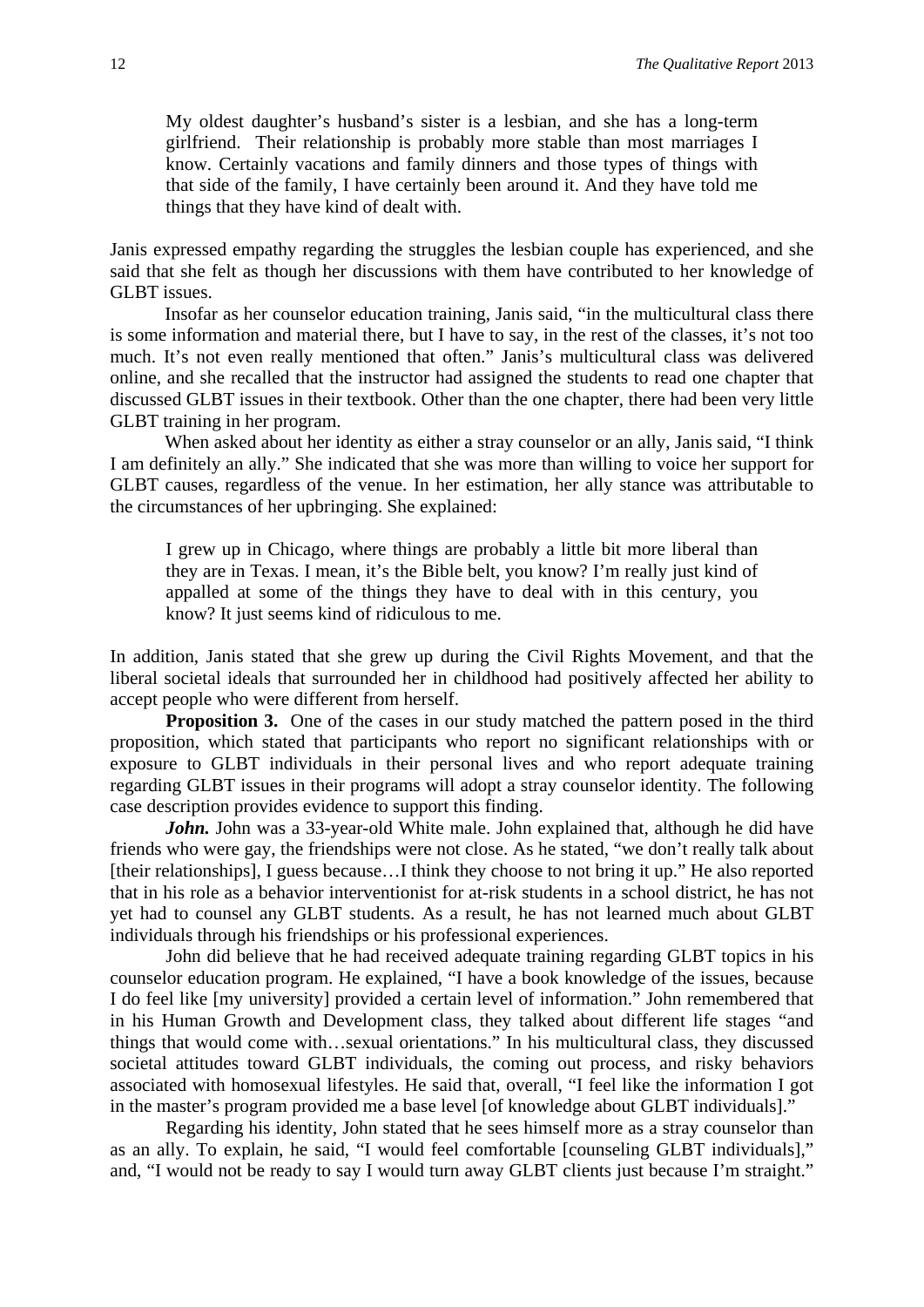My oldest daughter's husband's sister is a lesbian, and she has a long-term girlfriend. Their relationship is probably more stable than most marriages I know. Certainly vacations and family dinners and those types of things with that side of the family, I have certainly been around it. And they have told me things that they have kind of dealt with.

Janis expressed empathy regarding the struggles the lesbian couple has experienced, and she said that she felt as though her discussions with them have contributed to her knowledge of GLBT issues.

Insofar as her counselor education training, Janis said, "in the multicultural class there is some information and material there, but I have to say, in the rest of the classes, it's not too much. It's not even really mentioned that often." Janis's multicultural class was delivered online, and she recalled that the instructor had assigned the students to read one chapter that discussed GLBT issues in their textbook. Other than the one chapter, there had been very little GLBT training in her program.

When asked about her identity as either a stray counselor or an ally, Janis said, "I think I am definitely an ally." She indicated that she was more than willing to voice her support for GLBT causes, regardless of the venue. In her estimation, her ally stance was attributable to the circumstances of her upbringing. She explained:

I grew up in Chicago, where things are probably a little bit more liberal than they are in Texas. I mean, it's the Bible belt, you know? I'm really just kind of appalled at some of the things they have to deal with in this century, you know? It just seems kind of ridiculous to me.

In addition, Janis stated that she grew up during the Civil Rights Movement, and that the liberal societal ideals that surrounded her in childhood had positively affected her ability to accept people who were different from herself.

**Proposition 3.** One of the cases in our study matched the pattern posed in the third proposition, which stated that participants who report no significant relationships with or exposure to GLBT individuals in their personal lives and who report adequate training regarding GLBT issues in their programs will adopt a stray counselor identity. The following case description provides evidence to support this finding.

*John.* John was a 33-year-old White male. John explained that, although he did have friends who were gay, the friendships were not close. As he stated, "we don't really talk about [their relationships], I guess because…I think they choose to not bring it up." He also reported that in his role as a behavior interventionist for at-risk students in a school district, he has not yet had to counsel any GLBT students. As a result, he has not learned much about GLBT individuals through his friendships or his professional experiences.

John did believe that he had received adequate training regarding GLBT topics in his counselor education program. He explained, "I have a book knowledge of the issues, because I do feel like [my university] provided a certain level of information." John remembered that in his Human Growth and Development class, they talked about different life stages "and things that would come with…sexual orientations." In his multicultural class, they discussed societal attitudes toward GLBT individuals, the coming out process, and risky behaviors associated with homosexual lifestyles. He said that, overall, "I feel like the information I got in the master's program provided me a base level [of knowledge about GLBT individuals]."

Regarding his identity, John stated that he sees himself more as a stray counselor than as an ally. To explain, he said, "I would feel comfortable [counseling GLBT individuals]," and, "I would not be ready to say I would turn away GLBT clients just because I'm straight."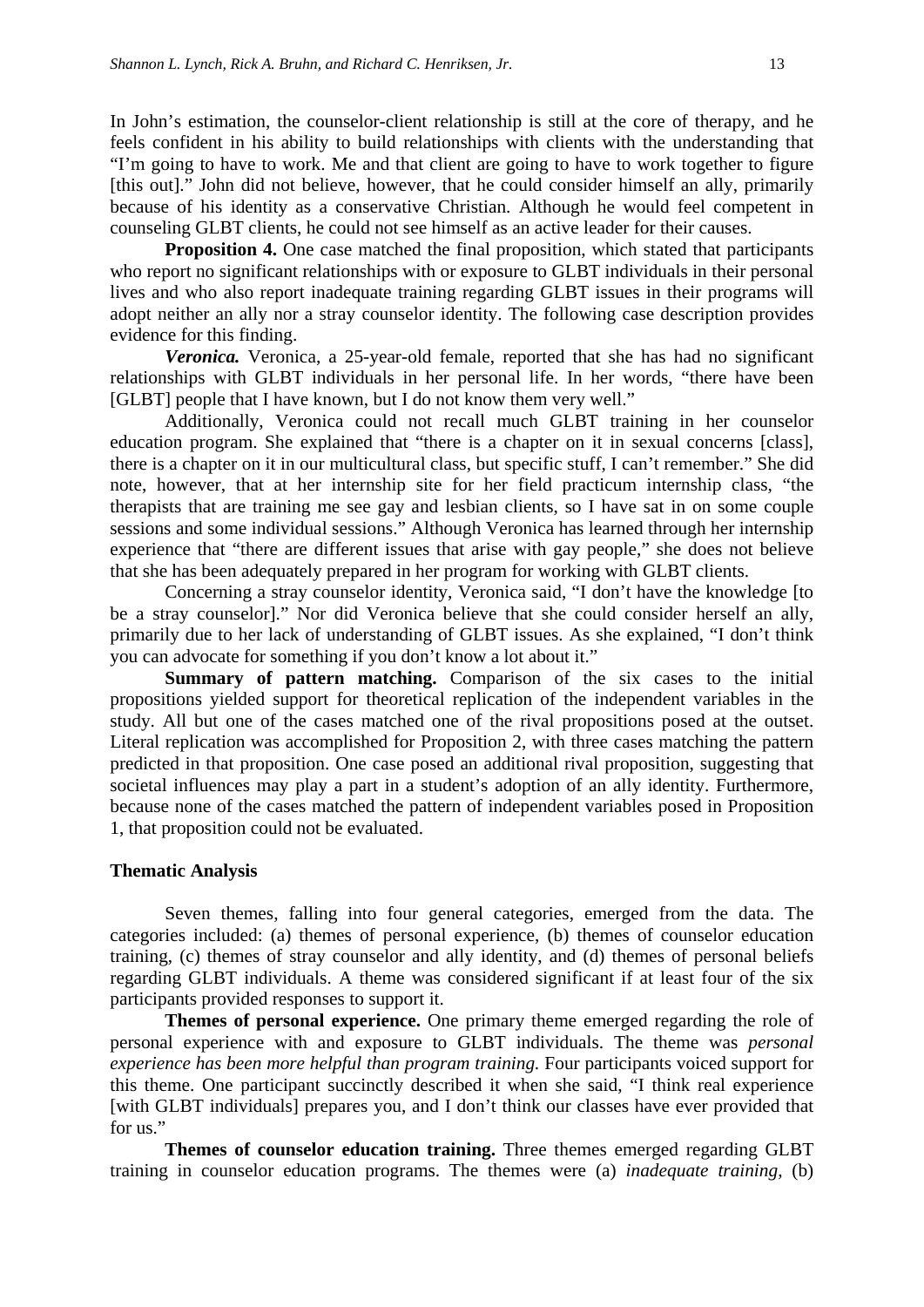In John's estimation, the counselor-client relationship is still at the core of therapy, and he feels confident in his ability to build relationships with clients with the understanding that "I'm going to have to work. Me and that client are going to have to work together to figure [this out]." John did not believe, however, that he could consider himself an ally, primarily because of his identity as a conservative Christian. Although he would feel competent in counseling GLBT clients, he could not see himself as an active leader for their causes.

**Proposition 4.** One case matched the final proposition, which stated that participants who report no significant relationships with or exposure to GLBT individuals in their personal lives and who also report inadequate training regarding GLBT issues in their programs will adopt neither an ally nor a stray counselor identity. The following case description provides evidence for this finding.

*Veronica.* Veronica, a 25-year-old female, reported that she has had no significant relationships with GLBT individuals in her personal life. In her words, "there have been [GLBT] people that I have known, but I do not know them very well."

Additionally, Veronica could not recall much GLBT training in her counselor education program. She explained that "there is a chapter on it in sexual concerns [class], there is a chapter on it in our multicultural class, but specific stuff, I can't remember." She did note, however, that at her internship site for her field practicum internship class, "the therapists that are training me see gay and lesbian clients, so I have sat in on some couple sessions and some individual sessions." Although Veronica has learned through her internship experience that "there are different issues that arise with gay people," she does not believe that she has been adequately prepared in her program for working with GLBT clients.

Concerning a stray counselor identity, Veronica said, "I don't have the knowledge [to be a stray counselor]." Nor did Veronica believe that she could consider herself an ally, primarily due to her lack of understanding of GLBT issues. As she explained, "I don't think you can advocate for something if you don't know a lot about it."

**Summary of pattern matching.** Comparison of the six cases to the initial propositions yielded support for theoretical replication of the independent variables in the study. All but one of the cases matched one of the rival propositions posed at the outset. Literal replication was accomplished for Proposition 2, with three cases matching the pattern predicted in that proposition. One case posed an additional rival proposition, suggesting that societal influences may play a part in a student's adoption of an ally identity. Furthermore, because none of the cases matched the pattern of independent variables posed in Proposition 1, that proposition could not be evaluated.

#### **Thematic Analysis**

Seven themes, falling into four general categories, emerged from the data. The categories included: (a) themes of personal experience, (b) themes of counselor education training, (c) themes of stray counselor and ally identity, and (d) themes of personal beliefs regarding GLBT individuals. A theme was considered significant if at least four of the six participants provided responses to support it.

**Themes of personal experience.** One primary theme emerged regarding the role of personal experience with and exposure to GLBT individuals. The theme was *personal experience has been more helpful than program training.* Four participants voiced support for this theme. One participant succinctly described it when she said, "I think real experience [with GLBT individuals] prepares you, and I don't think our classes have ever provided that for us."

**Themes of counselor education training.** Three themes emerged regarding GLBT training in counselor education programs. The themes were (a) *inadequate training,* (b)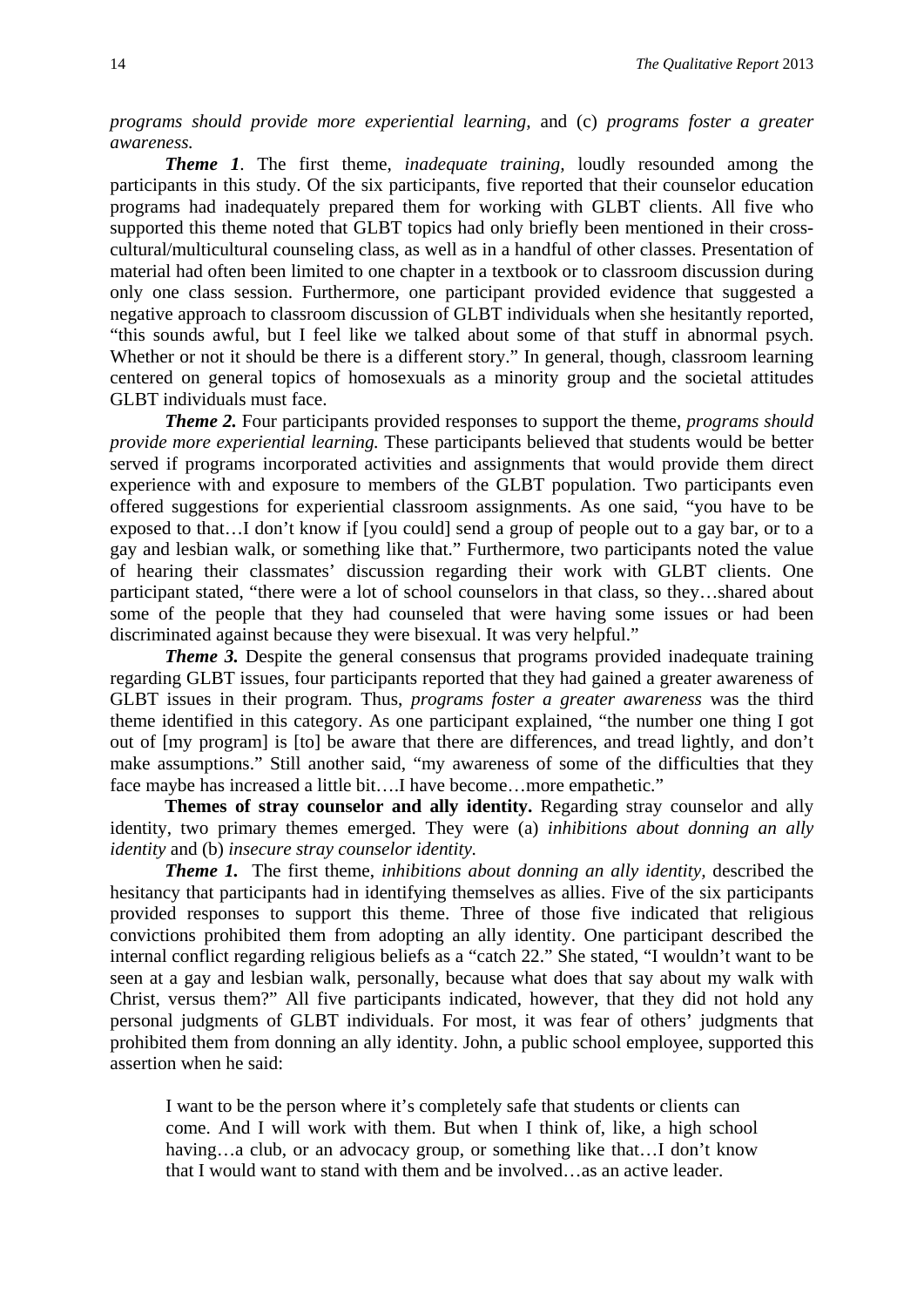*programs should provide more experiential learning,* and (c) *programs foster a greater awareness.*

*Theme 1*. The first theme, *inadequate training,* loudly resounded among the participants in this study. Of the six participants, five reported that their counselor education programs had inadequately prepared them for working with GLBT clients. All five who supported this theme noted that GLBT topics had only briefly been mentioned in their crosscultural/multicultural counseling class, as well as in a handful of other classes. Presentation of material had often been limited to one chapter in a textbook or to classroom discussion during only one class session. Furthermore, one participant provided evidence that suggested a negative approach to classroom discussion of GLBT individuals when she hesitantly reported, "this sounds awful, but I feel like we talked about some of that stuff in abnormal psych. Whether or not it should be there is a different story." In general, though, classroom learning centered on general topics of homosexuals as a minority group and the societal attitudes GLBT individuals must face.

*Theme 2.* Four participants provided responses to support the theme, *programs should provide more experiential learning.* These participants believed that students would be better served if programs incorporated activities and assignments that would provide them direct experience with and exposure to members of the GLBT population. Two participants even offered suggestions for experiential classroom assignments. As one said, "you have to be exposed to that…I don't know if [you could] send a group of people out to a gay bar, or to a gay and lesbian walk, or something like that." Furthermore, two participants noted the value of hearing their classmates' discussion regarding their work with GLBT clients. One participant stated, "there were a lot of school counselors in that class, so they…shared about some of the people that they had counseled that were having some issues or had been discriminated against because they were bisexual. It was very helpful."

*Theme 3.* Despite the general consensus that programs provided inadequate training regarding GLBT issues, four participants reported that they had gained a greater awareness of GLBT issues in their program. Thus, *programs foster a greater awareness* was the third theme identified in this category. As one participant explained, "the number one thing I got out of [my program] is [to] be aware that there are differences, and tread lightly, and don't make assumptions." Still another said, "my awareness of some of the difficulties that they face maybe has increased a little bit….I have become…more empathetic."

**Themes of stray counselor and ally identity.** Regarding stray counselor and ally identity, two primary themes emerged. They were (a) *inhibitions about donning an ally identity* and (b) *insecure stray counselor identity.*

*Theme 1.* The first theme, *inhibitions about donning an ally identity*, described the hesitancy that participants had in identifying themselves as allies. Five of the six participants provided responses to support this theme. Three of those five indicated that religious convictions prohibited them from adopting an ally identity. One participant described the internal conflict regarding religious beliefs as a "catch 22." She stated, "I wouldn't want to be seen at a gay and lesbian walk, personally, because what does that say about my walk with Christ, versus them?" All five participants indicated, however, that they did not hold any personal judgments of GLBT individuals. For most, it was fear of others' judgments that prohibited them from donning an ally identity. John, a public school employee, supported this assertion when he said:

I want to be the person where it's completely safe that students or clients can come. And I will work with them. But when I think of, like, a high school having…a club, or an advocacy group, or something like that…I don't know that I would want to stand with them and be involved…as an active leader.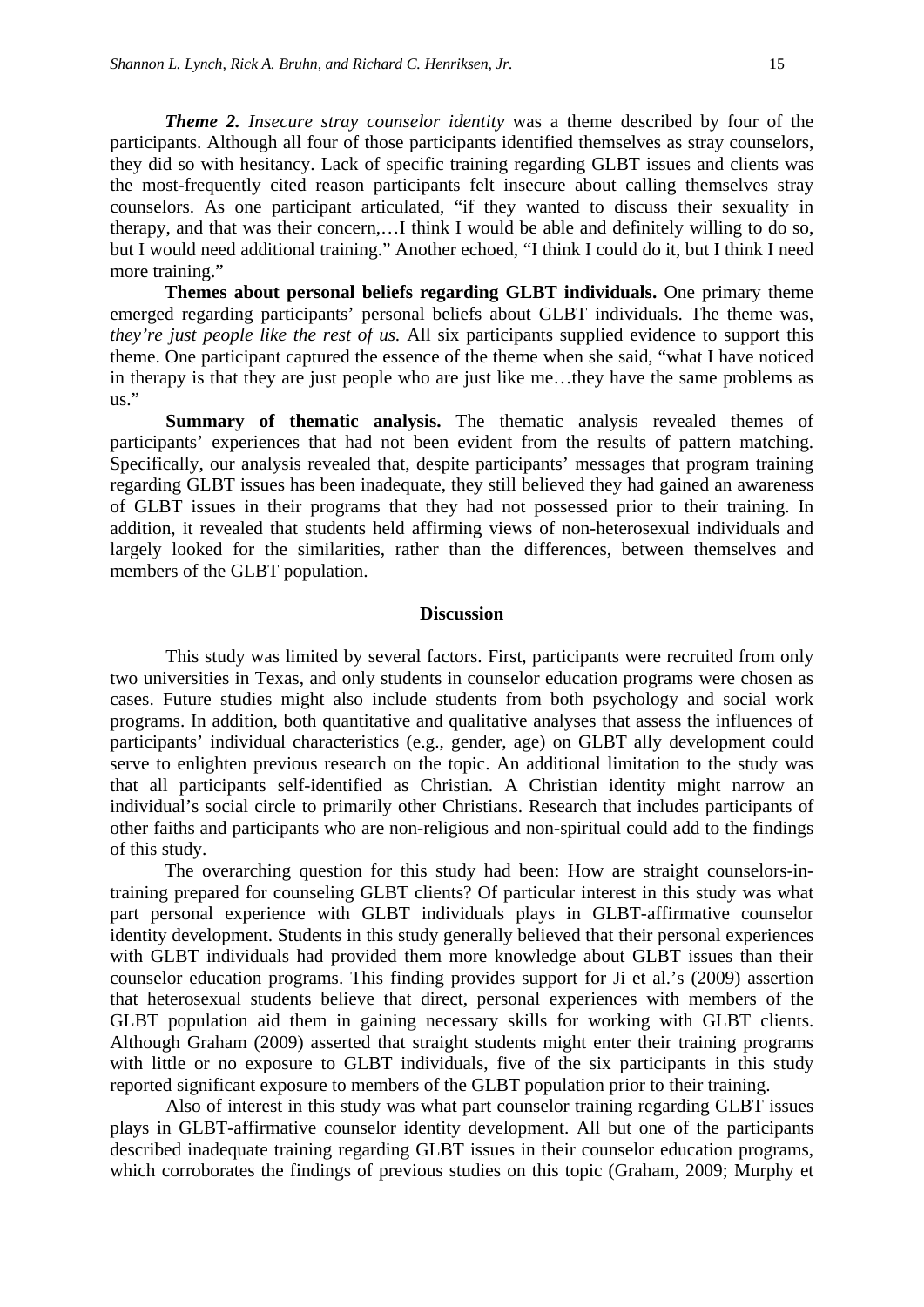*Theme 2. Insecure stray counselor identity* was a theme described by four of the participants. Although all four of those participants identified themselves as stray counselors, they did so with hesitancy. Lack of specific training regarding GLBT issues and clients was the most-frequently cited reason participants felt insecure about calling themselves stray counselors. As one participant articulated, "if they wanted to discuss their sexuality in therapy, and that was their concern,…I think I would be able and definitely willing to do so, but I would need additional training." Another echoed, "I think I could do it, but I think I need more training."

**Themes about personal beliefs regarding GLBT individuals.** One primary theme emerged regarding participants' personal beliefs about GLBT individuals. The theme was, *they're just people like the rest of us.* All six participants supplied evidence to support this theme. One participant captured the essence of the theme when she said, "what I have noticed in therapy is that they are just people who are just like me…they have the same problems as us."

**Summary of thematic analysis.** The thematic analysis revealed themes of participants' experiences that had not been evident from the results of pattern matching. Specifically, our analysis revealed that, despite participants' messages that program training regarding GLBT issues has been inadequate, they still believed they had gained an awareness of GLBT issues in their programs that they had not possessed prior to their training. In addition, it revealed that students held affirming views of non-heterosexual individuals and largely looked for the similarities, rather than the differences, between themselves and members of the GLBT population.

#### **Discussion**

This study was limited by several factors. First, participants were recruited from only two universities in Texas, and only students in counselor education programs were chosen as cases. Future studies might also include students from both psychology and social work programs. In addition, both quantitative and qualitative analyses that assess the influences of participants' individual characteristics (e.g., gender, age) on GLBT ally development could serve to enlighten previous research on the topic. An additional limitation to the study was that all participants self-identified as Christian. A Christian identity might narrow an individual's social circle to primarily other Christians. Research that includes participants of other faiths and participants who are non-religious and non-spiritual could add to the findings of this study.

The overarching question for this study had been: How are straight counselors-intraining prepared for counseling GLBT clients? Of particular interest in this study was what part personal experience with GLBT individuals plays in GLBT-affirmative counselor identity development. Students in this study generally believed that their personal experiences with GLBT individuals had provided them more knowledge about GLBT issues than their counselor education programs. This finding provides support for Ji et al.'s (2009) assertion that heterosexual students believe that direct, personal experiences with members of the GLBT population aid them in gaining necessary skills for working with GLBT clients. Although Graham (2009) asserted that straight students might enter their training programs with little or no exposure to GLBT individuals, five of the six participants in this study reported significant exposure to members of the GLBT population prior to their training.

Also of interest in this study was what part counselor training regarding GLBT issues plays in GLBT-affirmative counselor identity development. All but one of the participants described inadequate training regarding GLBT issues in their counselor education programs, which corroborates the findings of previous studies on this topic (Graham, 2009; Murphy et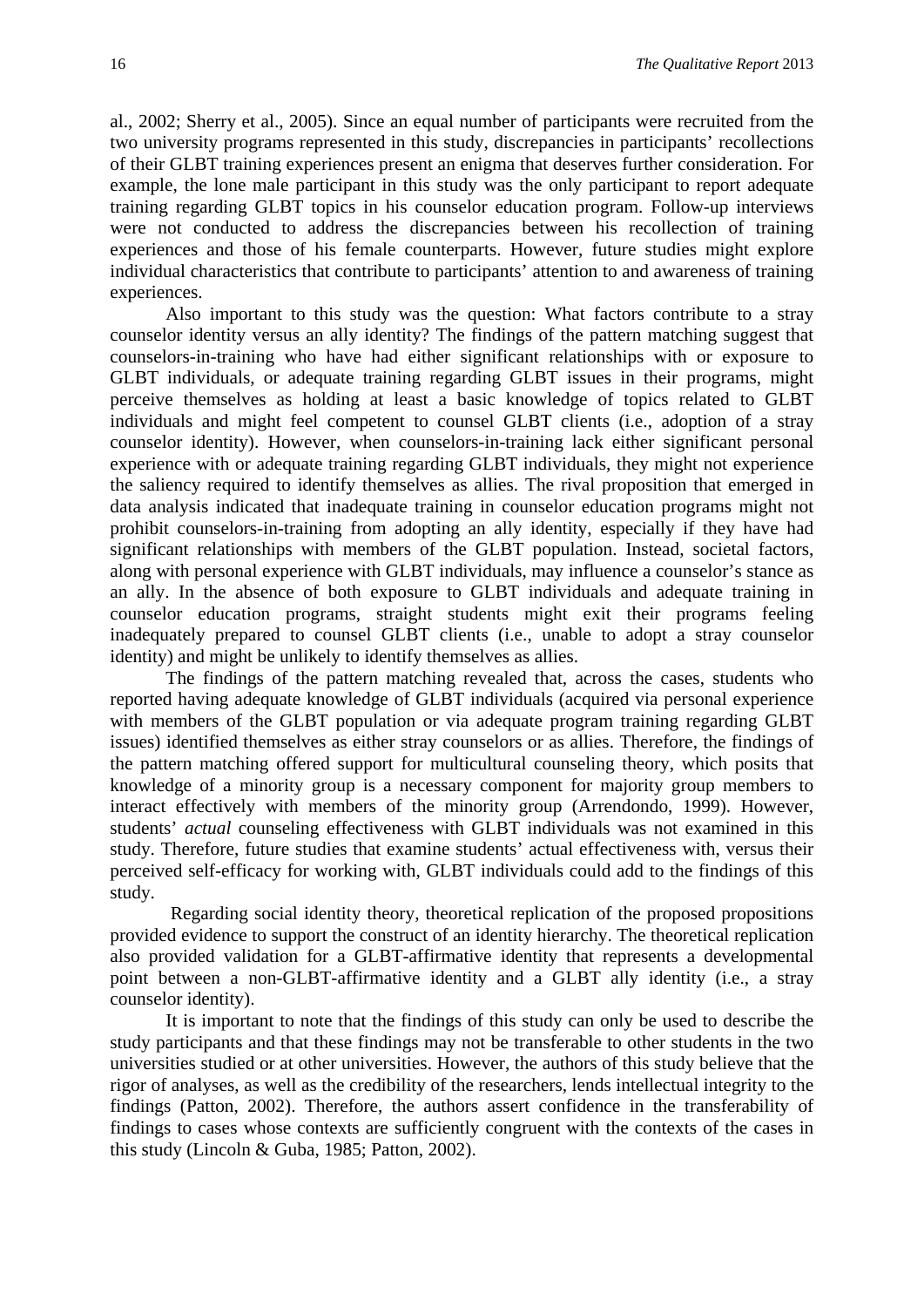al., 2002; Sherry et al., 2005). Since an equal number of participants were recruited from the two university programs represented in this study, discrepancies in participants' recollections of their GLBT training experiences present an enigma that deserves further consideration. For example, the lone male participant in this study was the only participant to report adequate training regarding GLBT topics in his counselor education program. Follow-up interviews were not conducted to address the discrepancies between his recollection of training experiences and those of his female counterparts. However, future studies might explore individual characteristics that contribute to participants' attention to and awareness of training experiences.

Also important to this study was the question: What factors contribute to a stray counselor identity versus an ally identity? The findings of the pattern matching suggest that counselors-in-training who have had either significant relationships with or exposure to GLBT individuals, or adequate training regarding GLBT issues in their programs, might perceive themselves as holding at least a basic knowledge of topics related to GLBT individuals and might feel competent to counsel GLBT clients (i.e., adoption of a stray counselor identity). However, when counselors-in-training lack either significant personal experience with or adequate training regarding GLBT individuals, they might not experience the saliency required to identify themselves as allies. The rival proposition that emerged in data analysis indicated that inadequate training in counselor education programs might not prohibit counselors-in-training from adopting an ally identity, especially if they have had significant relationships with members of the GLBT population. Instead, societal factors, along with personal experience with GLBT individuals, may influence a counselor's stance as an ally. In the absence of both exposure to GLBT individuals and adequate training in counselor education programs, straight students might exit their programs feeling inadequately prepared to counsel GLBT clients (i.e., unable to adopt a stray counselor identity) and might be unlikely to identify themselves as allies.

The findings of the pattern matching revealed that, across the cases, students who reported having adequate knowledge of GLBT individuals (acquired via personal experience with members of the GLBT population or via adequate program training regarding GLBT issues) identified themselves as either stray counselors or as allies. Therefore, the findings of the pattern matching offered support for multicultural counseling theory, which posits that knowledge of a minority group is a necessary component for majority group members to interact effectively with members of the minority group (Arrendondo, 1999). However, students' *actual* counseling effectiveness with GLBT individuals was not examined in this study. Therefore, future studies that examine students' actual effectiveness with, versus their perceived self-efficacy for working with, GLBT individuals could add to the findings of this study.

Regarding social identity theory, theoretical replication of the proposed propositions provided evidence to support the construct of an identity hierarchy. The theoretical replication also provided validation for a GLBT-affirmative identity that represents a developmental point between a non-GLBT-affirmative identity and a GLBT ally identity (i.e., a stray counselor identity).

It is important to note that the findings of this study can only be used to describe the study participants and that these findings may not be transferable to other students in the two universities studied or at other universities. However, the authors of this study believe that the rigor of analyses, as well as the credibility of the researchers, lends intellectual integrity to the findings (Patton, 2002). Therefore, the authors assert confidence in the transferability of findings to cases whose contexts are sufficiently congruent with the contexts of the cases in this study (Lincoln & Guba, 1985; Patton, 2002).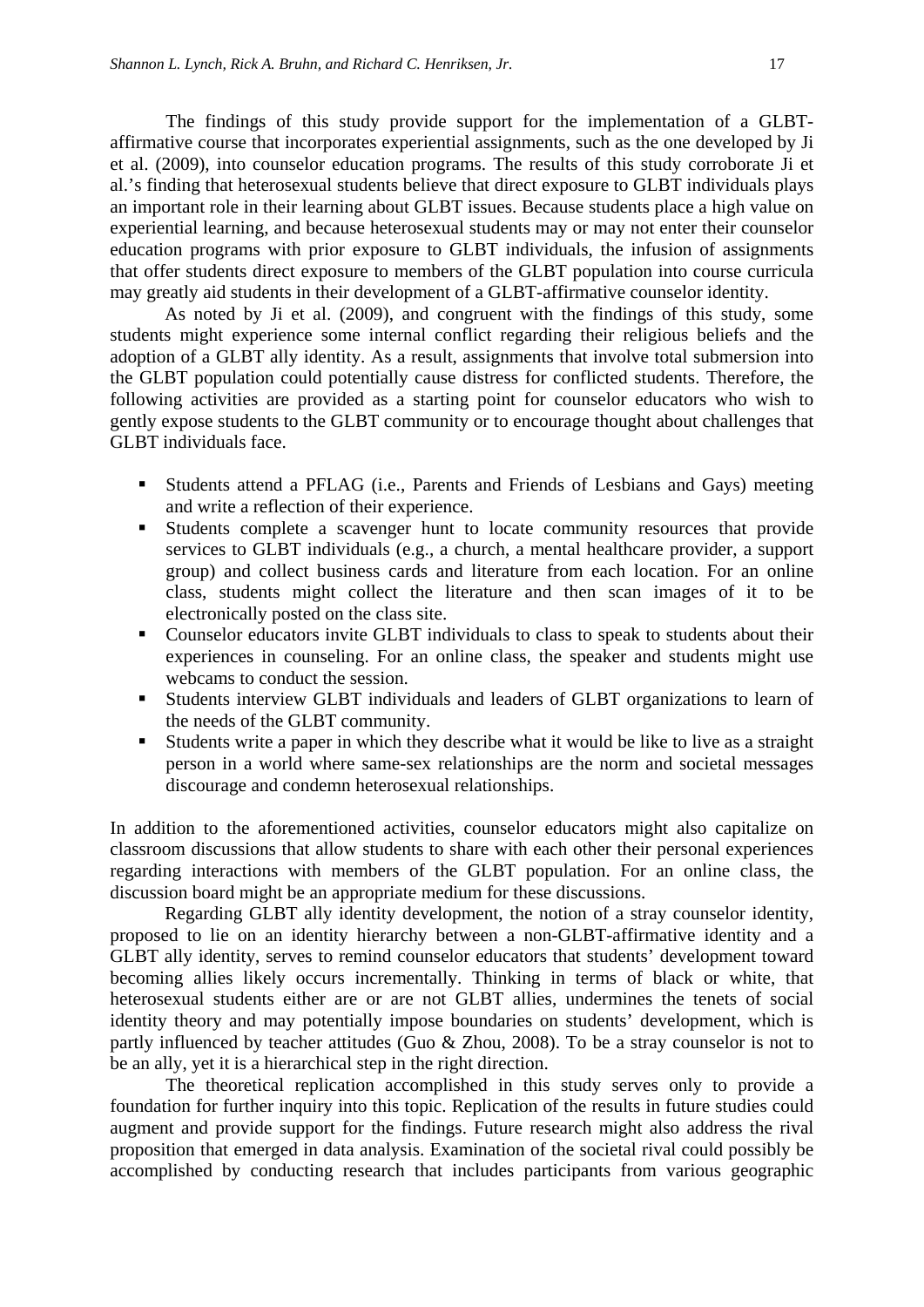The findings of this study provide support for the implementation of a GLBTaffirmative course that incorporates experiential assignments, such as the one developed by Ji et al. (2009), into counselor education programs. The results of this study corroborate Ji et al.'s finding that heterosexual students believe that direct exposure to GLBT individuals plays an important role in their learning about GLBT issues. Because students place a high value on experiential learning, and because heterosexual students may or may not enter their counselor education programs with prior exposure to GLBT individuals, the infusion of assignments that offer students direct exposure to members of the GLBT population into course curricula may greatly aid students in their development of a GLBT-affirmative counselor identity.

As noted by Ji et al. (2009), and congruent with the findings of this study, some students might experience some internal conflict regarding their religious beliefs and the adoption of a GLBT ally identity. As a result, assignments that involve total submersion into the GLBT population could potentially cause distress for conflicted students. Therefore, the following activities are provided as a starting point for counselor educators who wish to gently expose students to the GLBT community or to encourage thought about challenges that GLBT individuals face.

- Students attend a PFLAG (i.e., Parents and Friends of Lesbians and Gays) meeting and write a reflection of their experience.
- Students complete a scavenger hunt to locate community resources that provide services to GLBT individuals (e.g., a church, a mental healthcare provider, a support group) and collect business cards and literature from each location. For an online class, students might collect the literature and then scan images of it to be electronically posted on the class site.
- Counselor educators invite GLBT individuals to class to speak to students about their experiences in counseling. For an online class, the speaker and students might use webcams to conduct the session.
- Students interview GLBT individuals and leaders of GLBT organizations to learn of the needs of the GLBT community.
- Students write a paper in which they describe what it would be like to live as a straight person in a world where same-sex relationships are the norm and societal messages discourage and condemn heterosexual relationships.

In addition to the aforementioned activities, counselor educators might also capitalize on classroom discussions that allow students to share with each other their personal experiences regarding interactions with members of the GLBT population. For an online class, the discussion board might be an appropriate medium for these discussions.

Regarding GLBT ally identity development, the notion of a stray counselor identity, proposed to lie on an identity hierarchy between a non-GLBT-affirmative identity and a GLBT ally identity, serves to remind counselor educators that students' development toward becoming allies likely occurs incrementally. Thinking in terms of black or white, that heterosexual students either are or are not GLBT allies, undermines the tenets of social identity theory and may potentially impose boundaries on students' development, which is partly influenced by teacher attitudes (Guo & Zhou, 2008). To be a stray counselor is not to be an ally, yet it is a hierarchical step in the right direction.

The theoretical replication accomplished in this study serves only to provide a foundation for further inquiry into this topic. Replication of the results in future studies could augment and provide support for the findings. Future research might also address the rival proposition that emerged in data analysis. Examination of the societal rival could possibly be accomplished by conducting research that includes participants from various geographic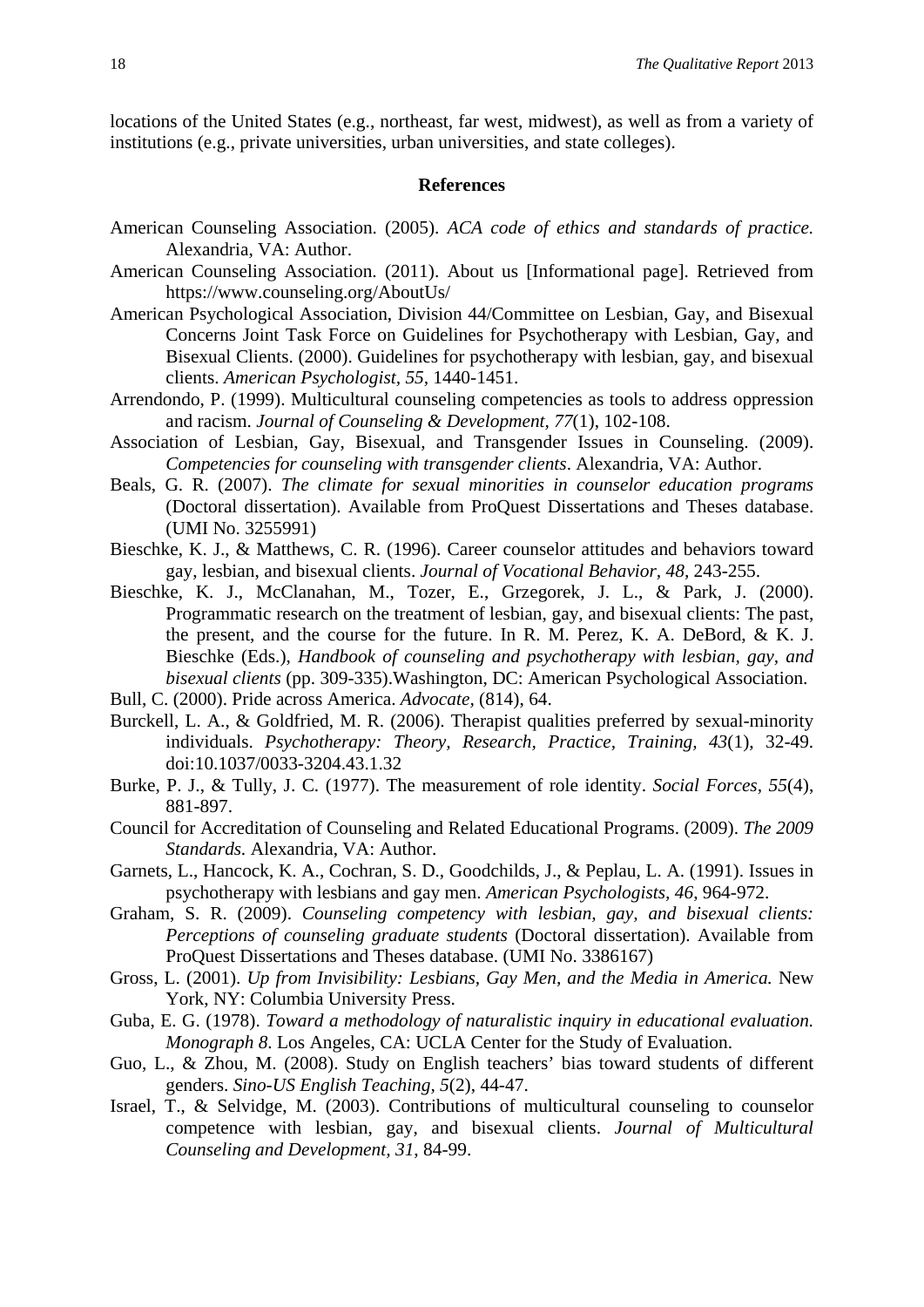locations of the United States (e.g., northeast, far west, midwest), as well as from a variety of institutions (e.g., private universities, urban universities, and state colleges).

#### **References**

- American Counseling Association. (2005). *ACA code of ethics and standards of practice.*  Alexandria, VA: Author.
- American Counseling Association. (2011). About us [Informational page]. Retrieved from https://www.counseling.org/AboutUs/
- American Psychological Association, Division 44/Committee on Lesbian, Gay, and Bisexual Concerns Joint Task Force on Guidelines for Psychotherapy with Lesbian, Gay, and Bisexual Clients. (2000). Guidelines for psychotherapy with lesbian, gay, and bisexual clients. *American Psychologist, 55,* 1440-1451.
- Arrendondo, P. (1999). Multicultural counseling competencies as tools to address oppression and racism. *Journal of Counseling & Development, 77*(1), 102-108.
- Association of Lesbian, Gay, Bisexual, and Transgender Issues in Counseling. (2009). *Competencies for counseling with transgender clients*. Alexandria, VA: Author.
- Beals, G. R. (2007). *The climate for sexual minorities in counselor education programs*  (Doctoral dissertation). Available from ProQuest Dissertations and Theses database. (UMI No. 3255991)
- Bieschke, K. J., & Matthews, C. R. (1996). Career counselor attitudes and behaviors toward gay, lesbian, and bisexual clients. *Journal of Vocational Behavior, 48,* 243-255.
- Bieschke, K. J., McClanahan, M., Tozer, E., Grzegorek, J. L., & Park, J. (2000). Programmatic research on the treatment of lesbian, gay, and bisexual clients: The past, the present, and the course for the future. In R. M. Perez, K. A. DeBord, & K. J. Bieschke (Eds.), *Handbook of counseling and psychotherapy with lesbian, gay, and bisexual clients* (pp. 309-335).Washington, DC: American Psychological Association.
- Bull, C. (2000). Pride across America. *Advocate,* (814), 64.
- Burckell, L. A., & Goldfried, M. R. (2006). Therapist qualities preferred by sexual-minority individuals. *Psychotherapy: Theory, Research, Practice, Training, 43*(1), 32-49. doi:10.1037/0033-3204.43.1.32
- Burke, P. J., & Tully, J. C. (1977). The measurement of role identity. *Social Forces, 55*(4), 881-897.
- Council for Accreditation of Counseling and Related Educational Programs. (2009). *The 2009 Standards.* Alexandria, VA: Author.
- Garnets, L., Hancock, K. A., Cochran, S. D., Goodchilds, J., & Peplau, L. A. (1991). Issues in psychotherapy with lesbians and gay men. *American Psychologists, 46*, 964-972.
- Graham, S. R. (2009). *Counseling competency with lesbian, gay, and bisexual clients: Perceptions of counseling graduate students* (Doctoral dissertation). Available from ProQuest Dissertations and Theses database. (UMI No. 3386167)
- Gross, L. (2001). *Up from Invisibility: Lesbians, Gay Men, and the Media in America.* New York, NY: Columbia University Press.
- Guba, E. G. (1978). *Toward a methodology of naturalistic inquiry in educational evaluation. Monograph 8*. Los Angeles, CA: UCLA Center for the Study of Evaluation.
- Guo, L., & Zhou, M. (2008). Study on English teachers' bias toward students of different genders. *Sino-US English Teaching, 5*(2), 44-47.
- Israel, T., & Selvidge, M. (2003). Contributions of multicultural counseling to counselor competence with lesbian, gay, and bisexual clients. *Journal of Multicultural Counseling and Development, 31*, 84-99.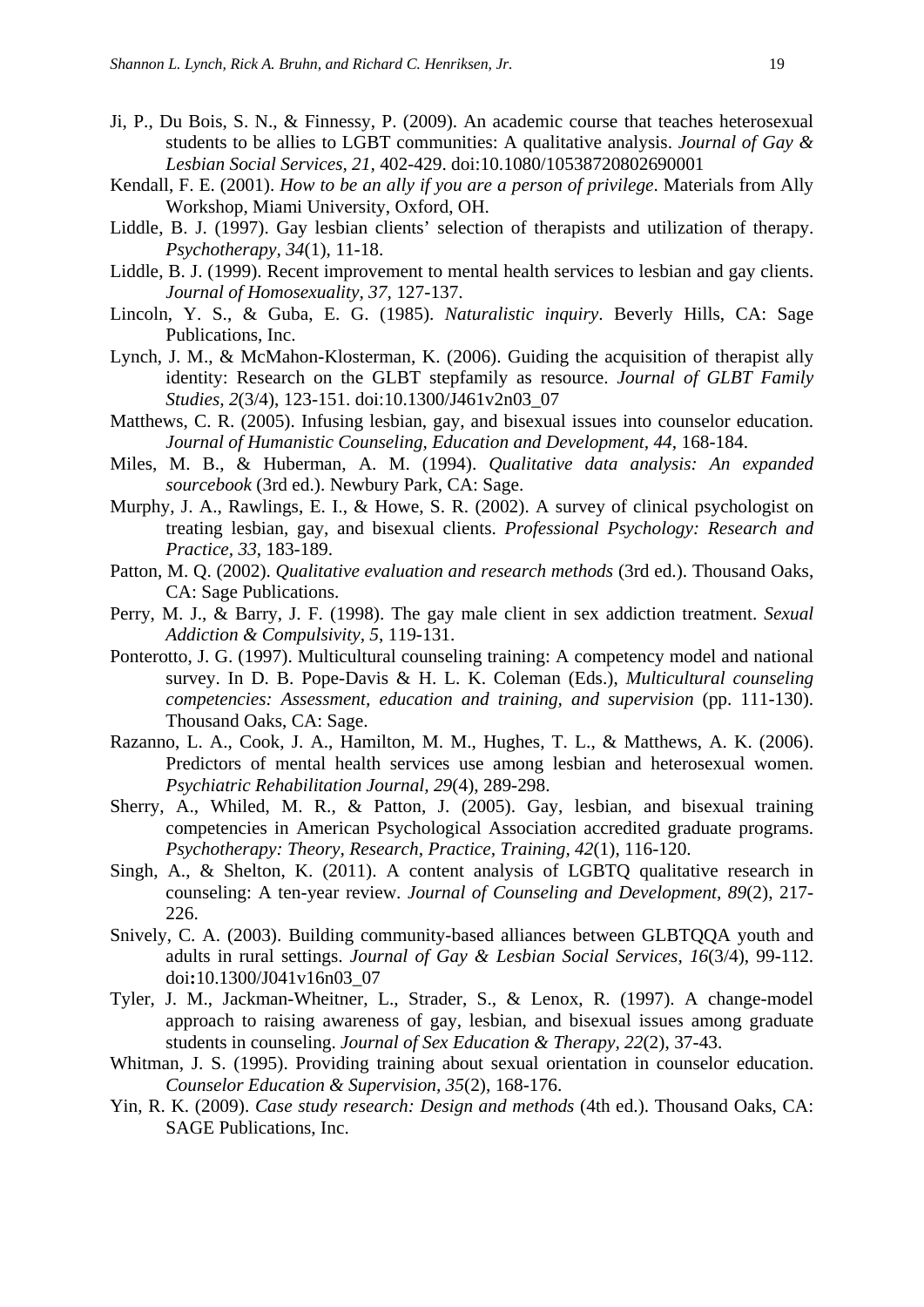- Ji, P., Du Bois, S. N., & Finnessy, P. (2009). An academic course that teaches heterosexual students to be allies to LGBT communities: A qualitative analysis. *Journal of Gay & Lesbian Social Services, 21,* 402-429. doi:10.1080/10538720802690001
- Kendall, F. E. (2001). *How to be an ally if you are a person of privilege*. Materials from Ally Workshop, Miami University, Oxford, OH.
- Liddle, B. J. (1997). Gay lesbian clients' selection of therapists and utilization of therapy. *Psychotherapy, 34*(1), 11-18.
- Liddle, B. J. (1999). Recent improvement to mental health services to lesbian and gay clients. *Journal of Homosexuality, 37,* 127-137.
- Lincoln, Y. S., & Guba, E. G. (1985). *Naturalistic inquiry*. Beverly Hills, CA: Sage Publications, Inc.
- Lynch, J. M., & McMahon-Klosterman, K. (2006). Guiding the acquisition of therapist ally identity: Research on the GLBT stepfamily as resource. *Journal of GLBT Family Studies, 2*(3/4), 123-151. doi:10.1300/J461v2n03\_07
- Matthews, C. R. (2005). Infusing lesbian, gay, and bisexual issues into counselor education. *Journal of Humanistic Counseling, Education and Development, 44*, 168-184.
- Miles, M. B., & Huberman, A. M. (1994). *Qualitative data analysis: An expanded sourcebook* (3rd ed.). Newbury Park, CA: Sage.
- Murphy, J. A., Rawlings, E. I., & Howe, S. R. (2002). A survey of clinical psychologist on treating lesbian, gay, and bisexual clients. *Professional Psychology: Research and Practice, 33*, 183-189.
- Patton, M. Q. (2002). *Qualitative evaluation and research methods* (3rd ed.). Thousand Oaks, CA: Sage Publications.
- Perry, M. J., & Barry, J. F. (1998). The gay male client in sex addiction treatment. *Sexual Addiction & Compulsivity, 5*, 119-131.
- Ponterotto, J. G. (1997). Multicultural counseling training: A competency model and national survey. In D. B. Pope-Davis & H. L. K. Coleman (Eds.), *Multicultural counseling competencies: Assessment, education and training, and supervision (pp. 111-130).* Thousand Oaks, CA: Sage.
- Razanno, L. A., Cook, J. A., Hamilton, M. M., Hughes, T. L., & Matthews, A. K. (2006). Predictors of mental health services use among lesbian and heterosexual women. *Psychiatric Rehabilitation Journal, 29*(4), 289-298.
- Sherry, A., Whiled, M. R., & Patton, J. (2005). Gay, lesbian, and bisexual training competencies in American Psychological Association accredited graduate programs. *Psychotherapy: Theory, Research, Practice, Training, 42*(1), 116-120.
- Singh, A., & Shelton, K. (2011). A content analysis of LGBTQ qualitative research in counseling: A ten-year review. *Journal of Counseling and Development, 89*(2), 217- 226.
- Snively, C. A. (2003). Building community-based alliances between GLBTQQA youth and adults in rural settings. *Journal of Gay & Lesbian Social Services, 16*(3/4), 99-112. doi**:**10.1300/J041v16n03\_07
- Tyler, J. M., Jackman-Wheitner, L., Strader, S., & Lenox, R. (1997). A change-model approach to raising awareness of gay, lesbian, and bisexual issues among graduate students in counseling. *Journal of Sex Education & Therapy, 22*(2), 37-43.
- Whitman, J. S. (1995). Providing training about sexual orientation in counselor education. *Counselor Education & Supervision, 35*(2), 168-176.
- Yin, R. K. (2009). *Case study research: Design and methods* (4th ed.). Thousand Oaks, CA: SAGE Publications, Inc.